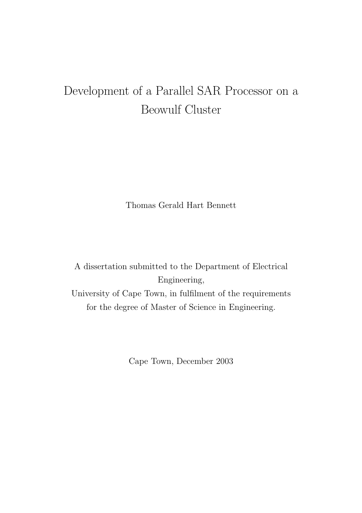## Development of a Parallel SAR Processor on a Beowulf Cluster

Thomas Gerald Hart Bennett

A dissertation submitted to the Department of Electrical Engineering, University of Cape Town, in fulfilment of the requirements for the degree of Master of Science in Engineering.

Cape Town, December 2003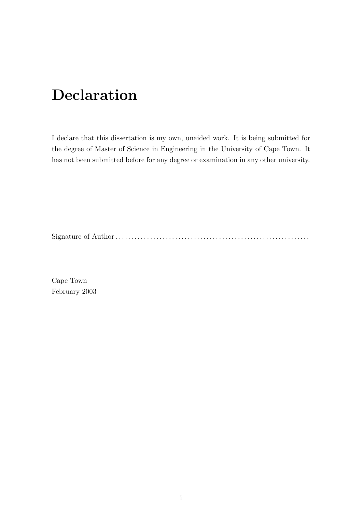# Declaration

I declare that this dissertation is my own, unaided work. It is being submitted for the degree of Master of Science in Engineering in the University of Cape Town. It has not been submitted before for any degree or examination in any other university.

Signature of Author . . . . . . . . . . . . . . . . . . . . . . . . . . . . . . . . . . . . . . . . . . . . . . . . . . . . . . . . . . . . . .

Cape Town February 2003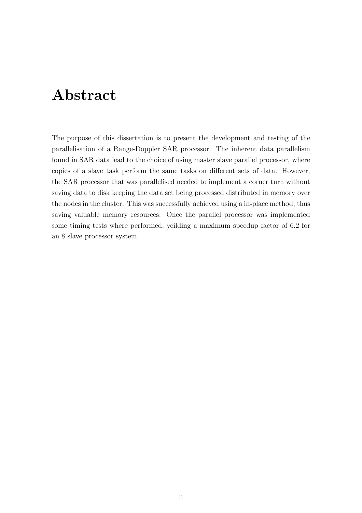## Abstract

The purpose of this dissertation is to present the development and testing of the parallelisation of a Range-Doppler SAR processor. The inherent data parallelism found in SAR data lead to the choice of using master slave parallel processor, where copies of a slave task perform the same tasks on different sets of data. However, the SAR processor that was parallelised needed to implement a corner turn without saving data to disk keeping the data set being processed distributed in memory over the nodes in the cluster. This was successfully achieved using a in-place method, thus saving valuable memory resources. Once the parallel processor was implemented some timing tests where performed, yeilding a maximum speedup factor of 6.2 for an 8 slave processor system.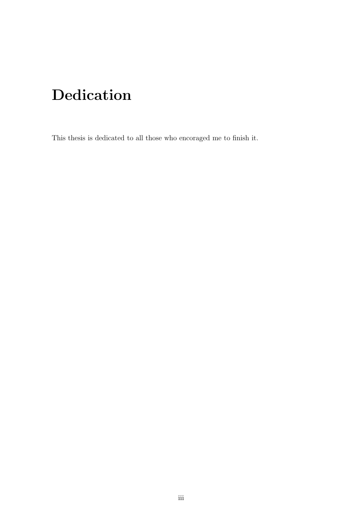# Dedication

This thesis is dedicated to all those who encoraged me to finish it.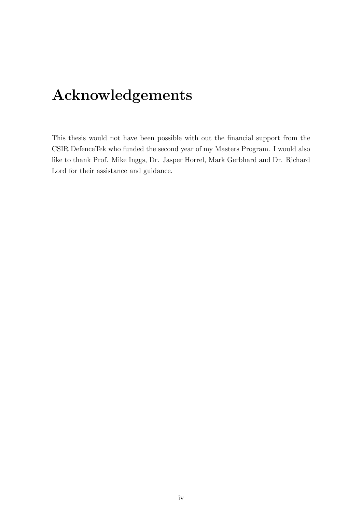# Acknowledgements

This thesis would not have been possible with out the financial support from the CSIR DefenceTek who funded the second year of my Masters Program. I would also like to thank Prof. Mike Inggs, Dr. Jasper Horrel, Mark Gerbhard and Dr. Richard Lord for their assistance and guidance.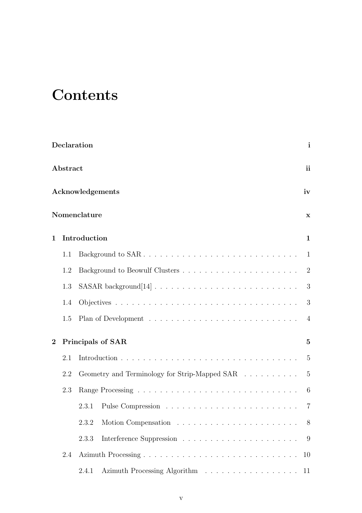# **Contents**

|                |          | Declaration                                   | $\mathbf{i}$   |
|----------------|----------|-----------------------------------------------|----------------|
|                | Abstract |                                               | ii             |
|                |          | Acknowledgements                              | iv             |
|                |          | Nomenclature                                  | $\mathbf x$    |
| $\mathbf{1}$   |          | Introduction                                  | $\mathbf{1}$   |
|                | 1.1      | Background to SAR                             | -1             |
|                | 1.2      |                                               | 2              |
|                | 1.3      |                                               | 3              |
|                | 1.4      |                                               | 3              |
|                | 1.5      |                                               | $\overline{4}$ |
| $\overline{2}$ |          | <b>Principals of SAR</b>                      | $\bf{5}$       |
|                | 2.1      |                                               | $\overline{5}$ |
|                | 2.2      | Geometry and Terminology for Strip-Mapped SAR | $\overline{5}$ |
|                | 2.3      |                                               | -6             |
|                |          | 2.3.1                                         | 7              |
|                |          | 2.3.2                                         | 8              |
|                |          | 2.3.3                                         | 9              |
|                | 2.4      |                                               | 10             |
|                |          | Azimuth Processing Algorithm<br>2.4.1         | 11             |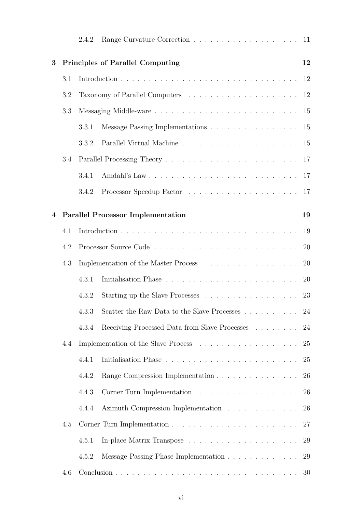|                |     | 2.4.2 |                                                                           |           |
|----------------|-----|-------|---------------------------------------------------------------------------|-----------|
| 3              |     |       | <b>Principles of Parallel Computing</b>                                   | 12        |
|                | 3.1 |       |                                                                           |           |
|                | 3.2 |       |                                                                           |           |
|                | 3.3 |       |                                                                           |           |
|                |     | 3.3.1 | Message Passing Implementations 15                                        |           |
|                |     | 3.3.2 |                                                                           |           |
|                | 3.4 |       |                                                                           |           |
|                |     | 3.4.1 |                                                                           |           |
|                |     | 3.4.2 |                                                                           |           |
| $\overline{4}$ |     |       | <b>Parallel Processor Implementation</b>                                  | 19        |
|                | 4.1 |       |                                                                           | 19        |
|                | 4.2 |       |                                                                           | -20       |
|                | 4.3 |       | Implementation of the Master Process $\ldots \ldots \ldots \ldots \ldots$ | 20        |
|                |     | 4.3.1 |                                                                           | <b>20</b> |
|                |     | 4.3.2 |                                                                           | 23        |
|                |     | 4.3.3 |                                                                           | 24        |
|                |     | 4.3.4 | Receiving Processed Data from Slave Processes                             | 24        |
|                | 4.4 |       |                                                                           | 25        |
|                |     | 4.4.1 |                                                                           | 25        |
|                |     | 4.4.2 | Range Compression Implementation                                          | 26        |
|                |     | 4.4.3 |                                                                           | 26        |
|                |     | 4.4.4 | Azimuth Compression Implementation                                        | 26        |
|                | 4.5 |       |                                                                           | 27        |
|                |     | 4.5.1 |                                                                           | 29        |
|                |     | 4.5.2 | Message Passing Phase Implementation                                      | 29        |
|                | 4.6 |       |                                                                           | 30        |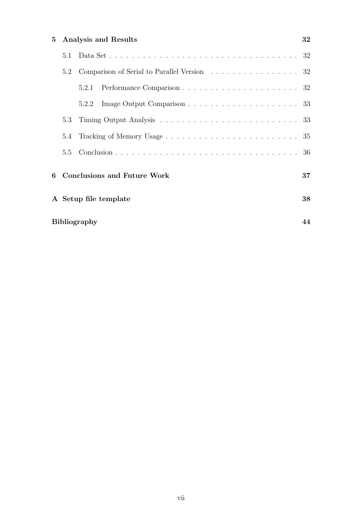| 5 | <b>Analysis and Results</b> |                                             |    |  |  |
|---|-----------------------------|---------------------------------------------|----|--|--|
|   | 5.1                         |                                             |    |  |  |
|   | 5.2                         | Comparison of Serial to Parallel Version 32 |    |  |  |
|   |                             | 5.2.1                                       |    |  |  |
|   |                             | 5.2.2                                       |    |  |  |
|   | 5.3                         |                                             |    |  |  |
|   | 5.4                         |                                             |    |  |  |
|   | 5.5                         |                                             |    |  |  |
| 6 |                             | <b>Conclusions and Future Work</b>          | 37 |  |  |
|   | 38<br>A Setup file template |                                             |    |  |  |
|   | <b>Bibliography</b><br>44   |                                             |    |  |  |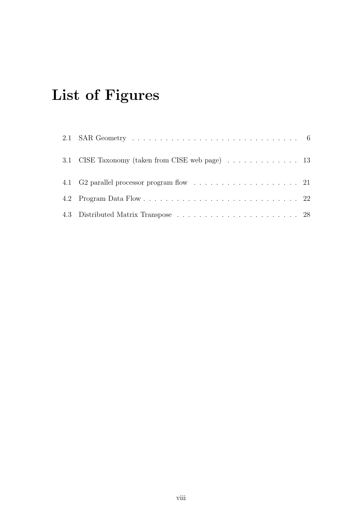# List of Figures

| 3.1 CISE Taxonomy (taken from CISE web page) 13 |  |
|-------------------------------------------------|--|
|                                                 |  |
|                                                 |  |
|                                                 |  |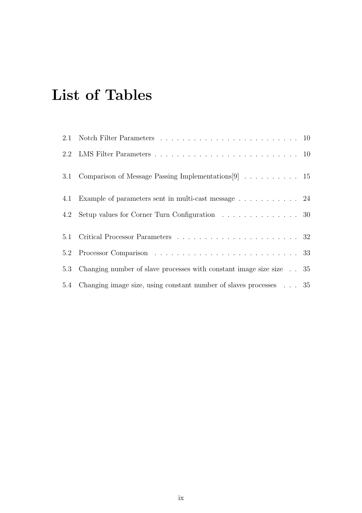# List of Tables

| 3.1 Comparison of Message Passing Implementations [9] $\ldots \ldots \ldots \ldots$ 15 |  |
|----------------------------------------------------------------------------------------|--|
| 4.1 Example of parameters sent in multi-cast message 24                                |  |
| 4.2 Setup values for Corner Turn Configuration 30                                      |  |
|                                                                                        |  |
|                                                                                        |  |
| 5.3 Changing number of slave processes with constant image size size 35                |  |
| 5.4 Changing image size, using constant number of slaves processes 35                  |  |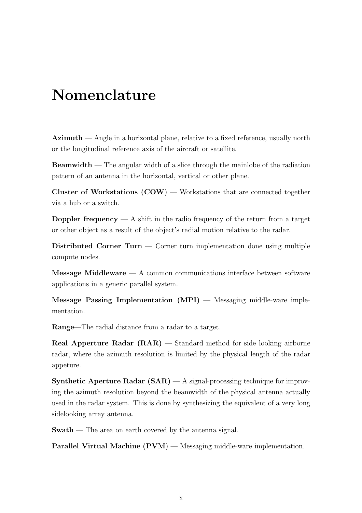## Nomenclature

 $Azimuth$  — Angle in a horizontal plane, relative to a fixed reference, usually north or the longitudinal reference axis of the aircraft or satellite.

Beamwidth — The angular width of a slice through the mainlobe of the radiation pattern of an antenna in the horizontal, vertical or other plane.

Cluster of Workstations  $(COW)$  — Workstations that are connected together via a hub or a switch.

**Doppler frequency**  $- A$  shift in the radio frequency of the return from a target or other object as a result of the object's radial motion relative to the radar.

Distributed Corner Turn — Corner turn implementation done using multiple compute nodes.

 $$ applications in a generic parallel system.

Message Passing Implementation (MPI) — Messaging middle-ware implementation.

Range—The radial distance from a radar to a target.

Real Apperture Radar (RAR) — Standard method for side looking airborne radar, where the azimuth resolution is limited by the physical length of the radar appeture.

**Synthetic Aperture Radar (SAR)**  $-$  A signal-processing technique for improving the azimuth resolution beyond the beamwidth of the physical antenna actually used in the radar system. This is done by synthesizing the equivalent of a very long sidelooking array antenna.

Swath — The area on earth covered by the antenna signal.

Parallel Virtual Machine (PVM) — Messaging middle-ware implementation.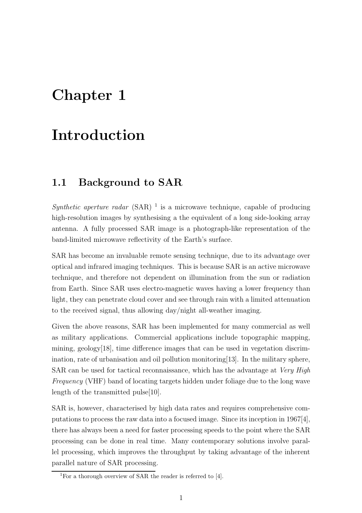## Chapter 1

## Introduction

### 1.1 Background to SAR

Synthetic aperture radar  $(SAR)^{-1}$  is a microwave technique, capable of producing high-resolution images by synthesising a the equivalent of a long side-looking array antenna. A fully processed SAR image is a photograph-like representation of the band-limited microwave reflectivity of the Earth's surface.

SAR has become an invaluable remote sensing technique, due to its advantage over optical and infrared imaging techniques. This is because SAR is an active microwave technique, and therefore not dependent on illumination from the sun or radiation from Earth. Since SAR uses electro-magnetic waves having a lower frequency than light, they can penetrate cloud cover and see through rain with a limited attenuation to the received signal, thus allowing day/night all-weather imaging.

Given the above reasons, SAR has been implemented for many commercial as well as military applications. Commercial applications include topographic mapping, mining, geology[18], time difference images that can be used in vegetation discrimination, rate of urbanisation and oil pollution monitoring[13]. In the military sphere, SAR can be used for tactical reconnaissance, which has the advantage at Very High Frequency (VHF) band of locating targets hidden under foliage due to the long wave length of the transmitted pulse[10].

SAR is, however, characterised by high data rates and requires comprehensive computations to process the raw data into a focused image. Since its inception in 1967[4], there has always been a need for faster processing speeds to the point where the SAR processing can be done in real time. Many contemporary solutions involve parallel processing, which improves the throughput by taking advantage of the inherent parallel nature of SAR processing.

<sup>&</sup>lt;sup>1</sup>For a thorough overview of SAR the reader is referred to  $[4]$ .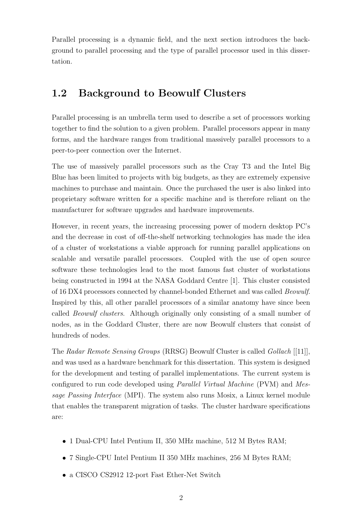Parallel processing is a dynamic field, and the next section introduces the background to parallel processing and the type of parallel processor used in this dissertation.

## 1.2 Background to Beowulf Clusters

Parallel processing is an umbrella term used to describe a set of processors working together to find the solution to a given problem. Parallel processors appear in many forms, and the hardware ranges from traditional massively parallel processors to a peer-to-peer connection over the Internet.

The use of massively parallel processors such as the Cray T3 and the Intel Big Blue has been limited to projects with big budgets, as they are extremely expensive machines to purchase and maintain. Once the purchased the user is also linked into proprietary software written for a specific machine and is therefore reliant on the manufacturer for software upgrades and hardware improvements.

However, in recent years, the increasing processing power of modern desktop PC's and the decrease in cost of off-the-shelf networking technologies has made the idea of a cluster of workstations a viable approach for running parallel applications on scalable and versatile parallel processors. Coupled with the use of open source software these technologies lead to the most famous fast cluster of workstations being constructed in 1994 at the NASA Goddard Centre [1]. This cluster consisted of 16 DX4 processors connected by channel-bonded Ethernet and was called Beowulf. Inspired by this, all other parallel processors of a similar anatomy have since been called Beowulf clusters. Although originally only consisting of a small number of nodes, as in the Goddard Cluster, there are now Beowulf clusters that consist of hundreds of nodes.

The Radar Remote Sensing Groups (RRSG) Beowulf Cluster is called Gollach [[11]], and was used as a hardware benchmark for this dissertation. This system is designed for the development and testing of parallel implementations. The current system is configured to run code developed using Parallel Virtual Machine (PVM) and Message Passing Interface (MPI). The system also runs Mosix, a Linux kernel module that enables the transparent migration of tasks. The cluster hardware specifications are:

- 1 Dual-CPU Intel Pentium II, 350 MHz machine, 512 M Bytes RAM;
- 7 Single-CPU Intel Pentium II 350 MHz machines, 256 M Bytes RAM;
- a CISCO CS2912 12-port Fast Ether-Net Switch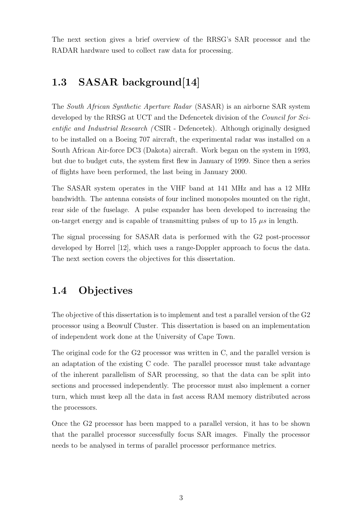The next section gives a brief overview of the RRSG's SAR processor and the RADAR hardware used to collect raw data for processing.

## 1.3 SASAR background[14]

The South African Synthetic Aperture Radar (SASAR) is an airborne SAR system developed by the RRSG at UCT and the Defencetek division of the Council for Scientific and Industrial Research ( CSIR - Defencetek). Although originally designed to be installed on a Boeing 707 aircraft, the experimental radar was installed on a South African Air-force DC3 (Dakota) aircraft. Work began on the system in 1993, but due to budget cuts, the system first flew in January of 1999. Since then a series of flights have been performed, the last being in January 2000.

The SASAR system operates in the VHF band at 141 MHz and has a 12 MHz bandwidth. The antenna consists of four inclined monopoles mounted on the right, rear side of the fuselage. A pulse expander has been developed to increasing the on-target energy and is capable of transmitting pulses of up to 15  $\mu$ s in length.

The signal processing for SASAR data is performed with the G2 post-processor developed by Horrel [12], which uses a range-Doppler approach to focus the data. The next section covers the objectives for this dissertation.

### 1.4 Objectives

The objective of this dissertation is to implement and test a parallel version of the G2 processor using a Beowulf Cluster. This dissertation is based on an implementation of independent work done at the University of Cape Town.

The original code for the G2 processor was written in C, and the parallel version is an adaptation of the existing C code. The parallel processor must take advantage of the inherent parallelism of SAR processing, so that the data can be split into sections and processed independently. The processor must also implement a corner turn, which must keep all the data in fast access RAM memory distributed across the processors.

Once the G2 processor has been mapped to a parallel version, it has to be shown that the parallel processor successfully focus SAR images. Finally the processor needs to be analysed in terms of parallel processor performance metrics.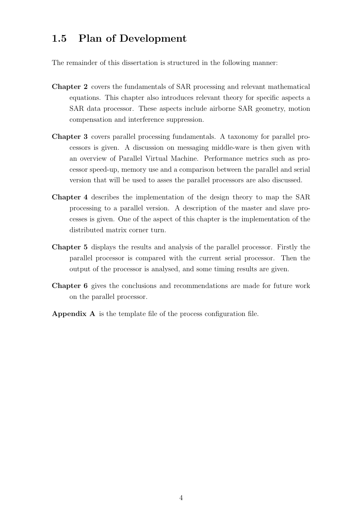## 1.5 Plan of Development

The remainder of this dissertation is structured in the following manner:

- Chapter 2 covers the fundamentals of SAR processing and relevant mathematical equations. This chapter also introduces relevant theory for specific aspects a SAR data processor. These aspects include airborne SAR geometry, motion compensation and interference suppression.
- Chapter 3 covers parallel processing fundamentals. A taxonomy for parallel processors is given. A discussion on messaging middle-ware is then given with an overview of Parallel Virtual Machine. Performance metrics such as processor speed-up, memory use and a comparison between the parallel and serial version that will be used to asses the parallel processors are also discussed.
- Chapter 4 describes the implementation of the design theory to map the SAR processing to a parallel version. A description of the master and slave processes is given. One of the aspect of this chapter is the implementation of the distributed matrix corner turn.
- Chapter 5 displays the results and analysis of the parallel processor. Firstly the parallel processor is compared with the current serial processor. Then the output of the processor is analysed, and some timing results are given.
- Chapter 6 gives the conclusions and recommendations are made for future work on the parallel processor.
- Appendix A is the template file of the process configuration file.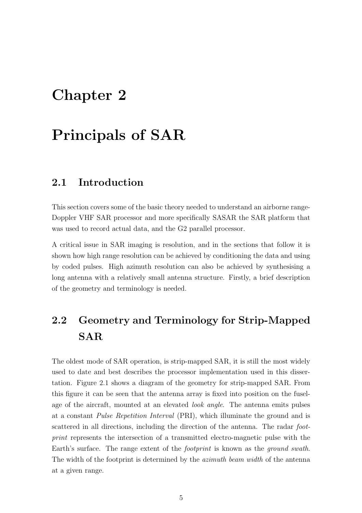## Chapter 2

## Principals of SAR

### 2.1 Introduction

This section covers some of the basic theory needed to understand an airborne range-Doppler VHF SAR processor and more specifically SASAR the SAR platform that was used to record actual data, and the G2 parallel processor.

A critical issue in SAR imaging is resolution, and in the sections that follow it is shown how high range resolution can be achieved by conditioning the data and using by coded pulses. High azimuth resolution can also be achieved by synthesising a long antenna with a relatively small antenna structure. Firstly, a brief description of the geometry and terminology is needed.

## 2.2 Geometry and Terminology for Strip-Mapped SAR

The oldest mode of SAR operation, is strip-mapped SAR, it is still the most widely used to date and best describes the processor implementation used in this dissertation. Figure 2.1 shows a diagram of the geometry for strip-mapped SAR. From this figure it can be seen that the antenna array is fixed into position on the fuselage of the aircraft, mounted at an elevated *look angle*. The antenna emits pulses at a constant Pulse Repetition Interval (PRI), which illuminate the ground and is scattered in all directions, including the direction of the antenna. The radar footprint represents the intersection of a transmitted electro-magnetic pulse with the Earth's surface. The range extent of the footprint is known as the ground swath. The width of the footprint is determined by the *azimuth beam width* of the antenna at a given range.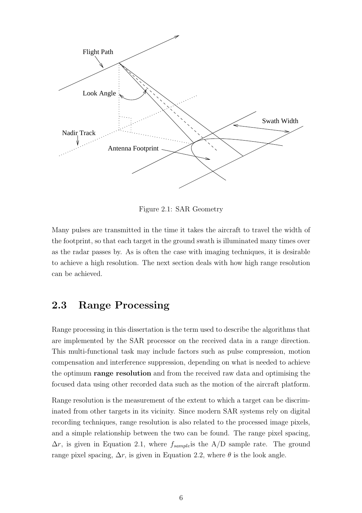

Figure 2.1: SAR Geometry

Many pulses are transmitted in the time it takes the aircraft to travel the width of the footprint, so that each target in the ground swath is illuminated many times over as the radar passes by. As is often the case with imaging techniques, it is desirable to achieve a high resolution. The next section deals with how high range resolution can be achieved.

## 2.3 Range Processing

Range processing in this dissertation is the term used to describe the algorithms that are implemented by the SAR processor on the received data in a range direction. This multi-functional task may include factors such as pulse compression, motion compensation and interference suppression, depending on what is needed to achieve the optimum **range resolution** and from the received raw data and optimising the focused data using other recorded data such as the motion of the aircraft platform.

Range resolution is the measurement of the extent to which a target can be discriminated from other targets in its vicinity. Since modern SAR systems rely on digital recording techniques, range resolution is also related to the processed image pixels, and a simple relationship between the two can be found. The range pixel spacing,  $\Delta r$ , is given in Equation 2.1, where  $f_{sample}$  is the A/D sample rate. The ground range pixel spacing,  $\Delta r$ , is given in Equation 2.2, where  $\theta$  is the look angle.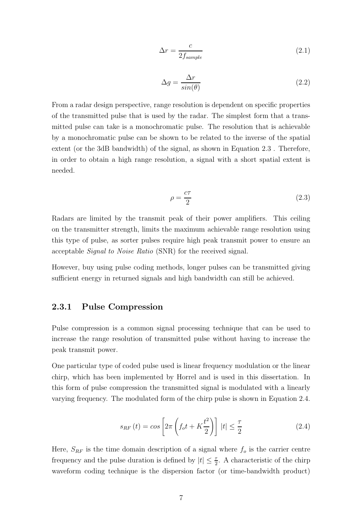$$
\Delta r = \frac{c}{2f_{sample}}\tag{2.1}
$$

$$
\Delta g = \frac{\Delta r}{\sin(\theta)}\tag{2.2}
$$

From a radar design perspective, range resolution is dependent on specific properties of the transmitted pulse that is used by the radar. The simplest form that a transmitted pulse can take is a monochromatic pulse. The resolution that is achievable by a monochromatic pulse can be shown to be related to the inverse of the spatial extent (or the 3dB bandwidth) of the signal, as shown in Equation 2.3 . Therefore, in order to obtain a high range resolution, a signal with a short spatial extent is needed.

$$
\rho = \frac{c\tau}{2} \tag{2.3}
$$

Radars are limited by the transmit peak of their power amplifiers. This ceiling on the transmitter strength, limits the maximum achievable range resolution using this type of pulse, as sorter pulses require high peak transmit power to ensure an acceptable Signal to Noise Ratio (SNR) for the received signal.

However, buy using pulse coding methods, longer pulses can be transmitted giving sufficient energy in returned signals and high bandwidth can still be achieved.

#### 2.3.1 Pulse Compression

Pulse compression is a common signal processing technique that can be used to increase the range resolution of transmitted pulse without having to increase the peak transmit power.

One particular type of coded pulse used is linear frequency modulation or the linear chirp, which has been implemented by Horrel and is used in this dissertation. In this form of pulse compression the transmitted signal is modulated with a linearly varying frequency. The modulated form of the chirp pulse is shown in Equation 2.4.

$$
s_{RF}(t) = \cos\left[2\pi\left(f_o t + K\frac{t^2}{2}\right)\right]|t| \le \frac{\tau}{2}
$$
\n(2.4)

Here,  $S_{RF}$  is the time domain description of a signal where  $f<sub>o</sub>$  is the carrier centre frequency and the pulse duration is defined by  $|t| \leq \frac{7}{2}$  $\frac{\tau}{2}$ . A characteristic of the chirp waveform coding technique is the dispersion factor (or time-bandwidth product)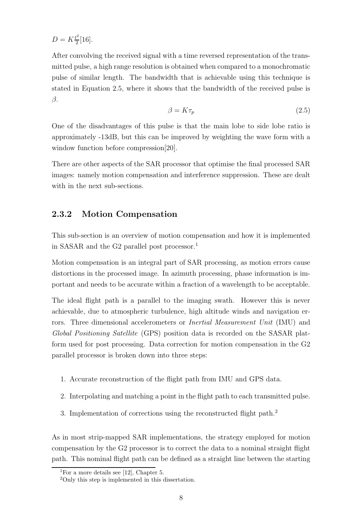$D = K \frac{t^2}{2}$  $\frac{1}{2}$ [16].

After convolving the received signal with a time reversed representation of the transmitted pulse, a high range resolution is obtained when compared to a monochromatic pulse of similar length. The bandwidth that is achievable using this technique is stated in Equation 2.5, where it shows that the bandwidth of the received pulse is  $\beta$ .

$$
\beta = K\tau_p \tag{2.5}
$$

One of the disadvantages of this pulse is that the main lobe to side lobe ratio is approximately -13dB, but this can be improved by weighting the wave form with a window function before compression[20].

There are other aspects of the SAR processor that optimise the final processed SAR images: namely motion compensation and interference suppression. These are dealt with in the next sub-sections.

### 2.3.2 Motion Compensation

This sub-section is an overview of motion compensation and how it is implemented in SASAR and the G2 parallel post processor.<sup>1</sup>

Motion compensation is an integral part of SAR processing, as motion errors cause distortions in the processed image. In azimuth processing, phase information is important and needs to be accurate within a fraction of a wavelength to be acceptable.

The ideal flight path is a parallel to the imaging swath. However this is never achievable, due to atmospheric turbulence, high altitude winds and navigation errors. Three dimensional accelerometers or *Inertial Measurement Unit* (IMU) and Global Positioning Satellite (GPS) position data is recorded on the SASAR platform used for post processing. Data correction for motion compensation in the G2 parallel processor is broken down into three steps:

- 1. Accurate reconstruction of the flight path from IMU and GPS data.
- 2. Interpolating and matching a point in the flight path to each transmitted pulse.
- 3. Implementation of corrections using the reconstructed flight path.<sup>2</sup>

As in most strip-mapped SAR implementations, the strategy employed for motion compensation by the G2 processor is to correct the data to a nominal straight flight path. This nominal flight path can be defined as a straight line between the starting

<sup>&</sup>lt;sup>1</sup>For a more details see [12], Chapter 5.

<sup>&</sup>lt;sup>2</sup>Only this step is implemented in this dissertation.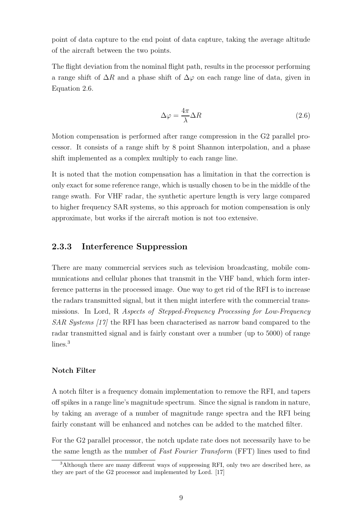point of data capture to the end point of data capture, taking the average altitude of the aircraft between the two points.

The flight deviation from the nominal flight path, results in the processor performing a range shift of  $\Delta R$  and a phase shift of  $\Delta \varphi$  on each range line of data, given in Equation 2.6.

$$
\Delta \varphi = \frac{4\pi}{\lambda} \Delta R \tag{2.6}
$$

Motion compensation is performed after range compression in the G2 parallel processor. It consists of a range shift by 8 point Shannon interpolation, and a phase shift implemented as a complex multiply to each range line.

It is noted that the motion compensation has a limitation in that the correction is only exact for some reference range, which is usually chosen to be in the middle of the range swath. For VHF radar, the synthetic aperture length is very large compared to higher frequency SAR systems, so this approach for motion compensation is only approximate, but works if the aircraft motion is not too extensive.

#### 2.3.3 Interference Suppression

There are many commercial services such as television broadcasting, mobile communications and cellular phones that transmit in the VHF band, which form interference patterns in the processed image. One way to get rid of the RFI is to increase the radars transmitted signal, but it then might interfere with the commercial transmissions. In Lord, R Aspects of Stepped-Frequency Processing for Low-Frequency SAR Systems [17] the RFI has been characterised as narrow band compared to the radar transmitted signal and is fairly constant over a number (up to 5000) of range lines<sup>3</sup>

#### Notch Filter

A notch filter is a frequency domain implementation to remove the RFI, and tapers off spikes in a range line's magnitude spectrum. Since the signal is random in nature, by taking an average of a number of magnitude range spectra and the RFI being fairly constant will be enhanced and notches can be added to the matched filter.

For the G2 parallel processor, the notch update rate does not necessarily have to be the same length as the number of Fast Fourier Transform (FFT) lines used to find

 $3$ Although there are many different ways of suppressing RFI, only two are described here, as they are part of the G2 processor and implemented by Lord. [17]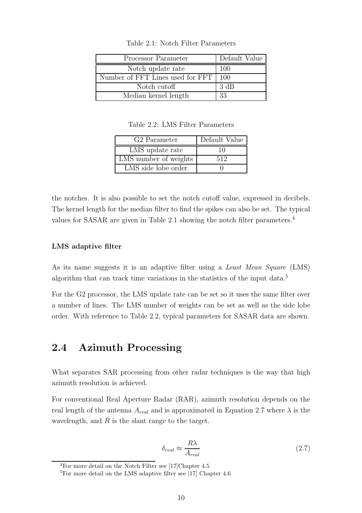| Processor Parameter              | Default Value |
|----------------------------------|---------------|
| Notch update rate                | 100           |
| Number of FFT Lines used for FFT | 100           |
| Notch cutoff                     | 3 dB          |
| Median kernel length             | 33            |

Table 2.1: Notch Filter Parameters

Table 2.2: LMS Filter Parameters

| G <sub>2</sub> Parameter | Default Value |
|--------------------------|---------------|
| LMS update rate          | 10            |
| LMS number of weights    | 512           |
| LMS side lobe order      |               |

the notches. It is also possible to set the notch cutoff value, expressed in decibels. The kernel length for the median filter to find the spikes can also be set. The typical values for SASAR are given in Table 2.1 showing the notch filter parameters.<sup>4</sup>

#### LMS adaptive filter

As its name suggests it is an adaptive filter using a *Least Mean Square* (LMS) algorithm that can track time variations in the statistics of the input data.<sup>5</sup>

For the G2 processor, the LMS update rate can be set so it uses the same filter over a number of lines. The LMS number of weights can be set as well as the side lobe order. With reference to Table 2.2, typical parameters for SASAR data are shown.

### 2.4 Azimuth Processing

What separates SAR processing from other radar techniques is the way that high azimuth resolution is achieved.

For conventional Real Aperture Radar (RAR), azimuth resolution depends on the real length of the antenna  $A_{real}$  and is approximated in Equation 2.7 where  $\lambda$  is the wavelength, and  $R$  is the slant range to the target.

$$
\delta_{real} \approx \frac{R\lambda}{A_{real}}\tag{2.7}
$$

<sup>4</sup>For more detail on the Notch Filter see [17]Chapter 4.5

 ${}^{5}$ For more detail on the LMS adaptive filter see [17] Chapter 4.6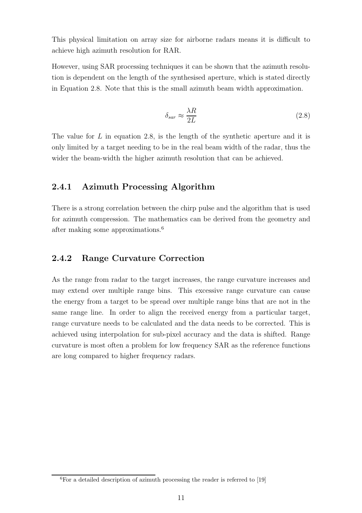This physical limitation on array size for airborne radars means it is difficult to achieve high azimuth resolution for RAR.

However, using SAR processing techniques it can be shown that the azimuth resolution is dependent on the length of the synthesised aperture, which is stated directly in Equation 2.8. Note that this is the small azimuth beam width approximation.

$$
\delta_{sar} \approx \frac{\lambda R}{2L} \tag{2.8}
$$

The value for  $L$  in equation 2.8, is the length of the synthetic aperture and it is only limited by a target needing to be in the real beam width of the radar, thus the wider the beam-width the higher azimuth resolution that can be achieved.

### 2.4.1 Azimuth Processing Algorithm

There is a strong correlation between the chirp pulse and the algorithm that is used for azimuth compression. The mathematics can be derived from the geometry and after making some approximations.<sup>6</sup>

#### 2.4.2 Range Curvature Correction

As the range from radar to the target increases, the range curvature increases and may extend over multiple range bins. This excessive range curvature can cause the energy from a target to be spread over multiple range bins that are not in the same range line. In order to align the received energy from a particular target, range curvature needs to be calculated and the data needs to be corrected. This is achieved using interpolation for sub-pixel accuracy and the data is shifted. Range curvature is most often a problem for low frequency SAR as the reference functions are long compared to higher frequency radars.

 ${}^{6}$ For a detailed description of azimuth processing the reader is referred to [19]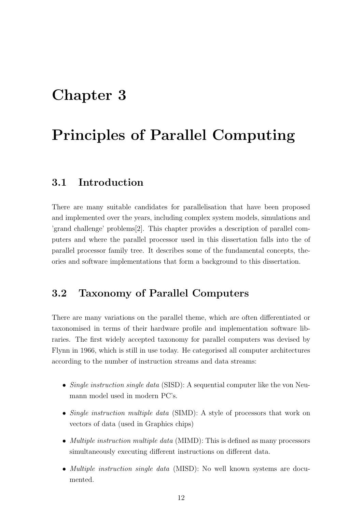## Chapter 3

## Principles of Parallel Computing

### 3.1 Introduction

There are many suitable candidates for parallelisation that have been proposed and implemented over the years, including complex system models, simulations and 'grand challenge' problems[2]. This chapter provides a description of parallel computers and where the parallel processor used in this dissertation falls into the of parallel processor family tree. It describes some of the fundamental concepts, theories and software implementations that form a background to this dissertation.

### 3.2 Taxonomy of Parallel Computers

There are many variations on the parallel theme, which are often differentiated or taxonomised in terms of their hardware profile and implementation software libraries. The first widely accepted taxonomy for parallel computers was devised by Flynn in 1966, which is still in use today. He categorised all computer architectures according to the number of instruction streams and data streams:

- Single instruction single data (SISD): A sequential computer like the von Neumann model used in modern PC's.
- Single instruction multiple data (SIMD): A style of processors that work on vectors of data (used in Graphics chips)
- *Multiple instruction multiple data* (MIMD): This is defined as many processors simultaneously executing different instructions on different data.
- *Multiple instruction single data* (MISD): No well known systems are documented.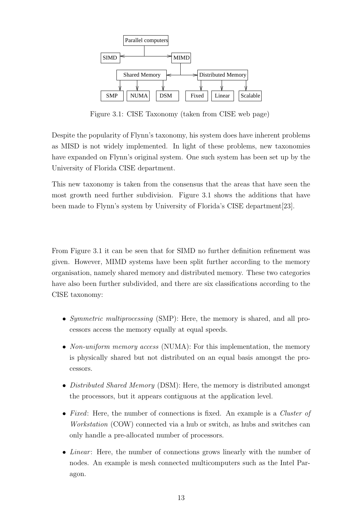

Figure 3.1: CISE Taxonomy (taken from CISE web page)

Despite the popularity of Flynn's taxonomy, his system does have inherent problems as MISD is not widely implemented. In light of these problems, new taxonomies have expanded on Flynn's original system. One such system has been set up by the University of Florida CISE department.

This new taxonomy is taken from the consensus that the areas that have seen the most growth need further subdivision. Figure 3.1 shows the additions that have been made to Flynn's system by University of Florida's CISE department[23].

From Figure 3.1 it can be seen that for SIMD no further definition refinement was given. However, MIMD systems have been split further according to the memory organisation, namely shared memory and distributed memory. These two categories have also been further subdivided, and there are six classifications according to the CISE taxonomy:

- Symmetric multiprocessing (SMP): Here, the memory is shared, and all processors access the memory equally at equal speeds.
- Non-uniform memory access (NUMA): For this implementation, the memory is physically shared but not distributed on an equal basis amongst the processors.
- Distributed Shared Memory (DSM): Here, the memory is distributed amongst the processors, but it appears contiguous at the application level.
- Fixed: Here, the number of connections is fixed. An example is a Cluster of Workstation (COW) connected via a hub or switch, as hubs and switches can only handle a pre-allocated number of processors.
- Linear: Here, the number of connections grows linearly with the number of nodes. An example is mesh connected multicomputers such as the Intel Paragon.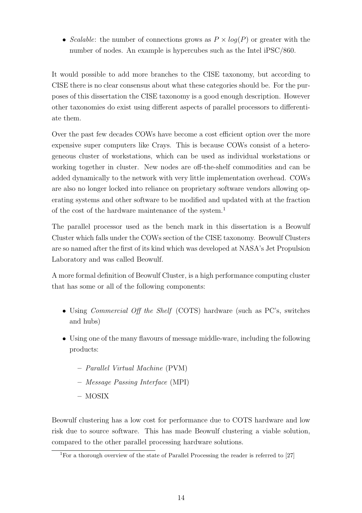• Scalable: the number of connections grows as  $P \times log(P)$  or greater with the number of nodes. An example is hypercubes such as the Intel iPSC/860.

It would possible to add more branches to the CISE taxonomy, but according to CISE there is no clear consensus about what these categories should be. For the purposes of this dissertation the CISE taxonomy is a good enough description. However other taxonomies do exist using different aspects of parallel processors to differentiate them.

Over the past few decades COWs have become a cost efficient option over the more expensive super computers like Crays. This is because COWs consist of a heterogeneous cluster of workstations, which can be used as individual workstations or working together in cluster. New nodes are off-the-shelf commodities and can be added dynamically to the network with very little implementation overhead. COWs are also no longer locked into reliance on proprietary software vendors allowing operating systems and other software to be modified and updated with at the fraction of the cost of the hardware maintenance of the system.<sup>1</sup>

The parallel processor used as the bench mark in this dissertation is a Beowulf Cluster which falls under the COWs section of the CISE taxonomy. Beowulf Clusters are so named after the first of its kind which was developed at NASA's Jet Propulsion Laboratory and was called Beowulf.

A more formal definition of Beowulf Cluster, is a high performance computing cluster that has some or all of the following components:

- Using *Commercial Off the Shelf* (COTS) hardware (such as PC's, switches and hubs)
- Using one of the many flavours of message middle-ware, including the following products:
	- Parallel Virtual Machine (PVM)
	- Message Passing Interface (MPI)
	- MOSIX

Beowulf clustering has a low cost for performance due to COTS hardware and low risk due to source software. This has made Beowulf clustering a viable solution, compared to the other parallel processing hardware solutions.

<sup>&</sup>lt;sup>1</sup>For a thorough overview of the state of Parallel Processing the reader is referred to [27]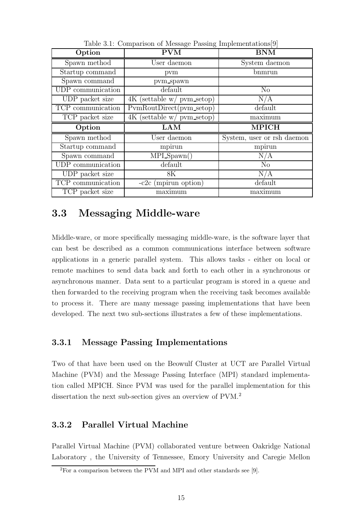| Option            | <b>PVM</b>                   | <b>BNM</b>                 |
|-------------------|------------------------------|----------------------------|
| Spawn method      | User daemon                  | System daemon              |
| Startup command   | pvm                          | bnmrun                     |
| Spawn command     | pvm_spawn                    |                            |
| UDP communication | default                      | $\rm No$                   |
| UDP packet size   | 4K (settable w/ pvm_setop)   | N/A                        |
| TCP communication | PymRoutDirect(pym_setop)     | default                    |
| TCP packet size   | $4K$ (settable w/ pvm setop) | maximum                    |
|                   |                              |                            |
| Option            | <b>LAM</b>                   | <b>MPICH</b>               |
| Spawn method      | User daemon                  | System, user or rsh daemon |
| Startup command   | mpirun                       | mpirun                     |
| Spawn command     | $MPI_Spawn()$                | N/A                        |
| UDP communication | default                      | N <sub>o</sub>             |
| UDP packet size   | 8K                           | N/A                        |
| TCP communication | $-c2c$ (mpirun option)       | default                    |

Table 3.1: Comparison of Message Passing Implementations[9]

## 3.3 Messaging Middle-ware

Middle-ware, or more specifically messaging middle-ware, is the software layer that can best be described as a common communications interface between software applications in a generic parallel system. This allows tasks - either on local or remote machines to send data back and forth to each other in a synchronous or asynchronous manner. Data sent to a particular program is stored in a queue and then forwarded to the receiving program when the receiving task becomes available to process it. There are many message passing implementations that have been developed. The next two sub-sections illustrates a few of these implementations.

### 3.3.1 Message Passing Implementations

Two of that have been used on the Beowulf Cluster at UCT are Parallel Virtual Machine (PVM) and the Message Passing Interface (MPI) standard implementation called MPICH. Since PVM was used for the parallel implementation for this dissertation the next sub-section gives an overview of PVM.<sup>2</sup>

### 3.3.2 Parallel Virtual Machine

Parallel Virtual Machine (PVM) collaborated venture between Oakridge National Laboratory , the University of Tennessee, Emory University and Caregie Mellon

<sup>2</sup>For a comparison between the PVM and MPI and other standards see [9].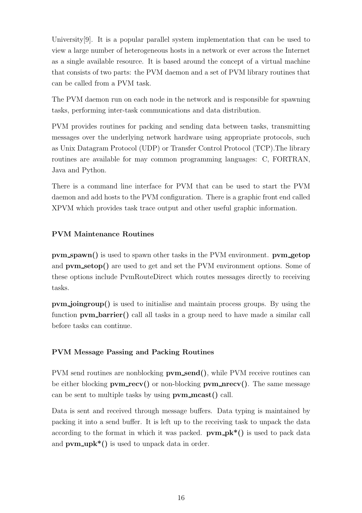University[9]. It is a popular parallel system implementation that can be used to view a large number of heterogeneous hosts in a network or ever across the Internet as a single available resource. It is based around the concept of a virtual machine that consists of two parts: the PVM daemon and a set of PVM library routines that can be called from a PVM task.

The PVM daemon run on each node in the network and is responsible for spawning tasks, performing inter-task communications and data distribution.

PVM provides routines for packing and sending data between tasks, transmitting messages over the underlying network hardware using appropriate protocols, such as Unix Datagram Protocol (UDP) or Transfer Control Protocol (TCP).The library routines are available for may common programming languages: C, FORTRAN, Java and Python.

There is a command line interface for PVM that can be used to start the PVM daemon and add hosts to the PVM configuration. There is a graphic front end called XPVM which provides task trace output and other useful graphic information.

#### PVM Maintenance Routines

pvm\_spawn() is used to spawn other tasks in the PVM environment. pvm\_getop and **pvm\_setop()** are used to get and set the PVM environment options. Some of these options include PvmRouteDirect which routes messages directly to receiving tasks.

pvm joingroup() is used to initialise and maintain process groups. By using the function pvm barrier() call all tasks in a group need to have made a similar call before tasks can continue.

#### PVM Message Passing and Packing Routines

PVM send routines are nonblocking  $\bf{pvm\_send}$ , while PVM receive routines can be either blocking  $\bf{pvm\_recv}()$  or non-blocking  $\bf{pvm\_prev}()$ . The same message can be sent to multiple tasks by using  $\bf{pvm\_meast}()$  call.

Data is sent and received through message buffers. Data typing is maintained by packing it into a send buffer. It is left up to the receiving task to unpack the data according to the format in which it was packed.  $\bf{pvm}$ - $\bf{pk}^*$ () is used to pack data and  $\bf{pvm\_unk*}()$  is used to unpack data in order.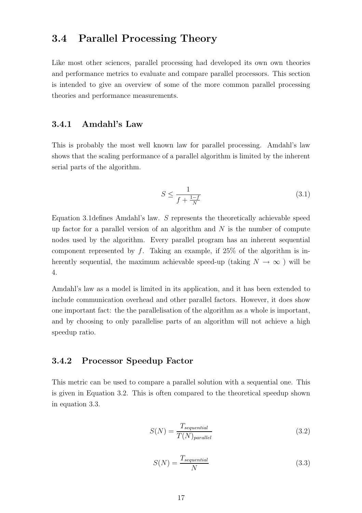### 3.4 Parallel Processing Theory

Like most other sciences, parallel processing had developed its own own theories and performance metrics to evaluate and compare parallel processors. This section is intended to give an overview of some of the more common parallel processing theories and performance measurements.

### 3.4.1 Amdahl's Law

This is probably the most well known law for parallel processing. Amdahl's law shows that the scaling performance of a parallel algorithm is limited by the inherent serial parts of the algorithm.

$$
S \le \frac{1}{f + \frac{1-f}{N}}\tag{3.1}
$$

Equation 3.1defines Amdahl's law. S represents the theoretically achievable speed up factor for a parallel version of an algorithm and  $N$  is the number of compute nodes used by the algorithm. Every parallel program has an inherent sequential component represented by f. Taking an example, if  $25\%$  of the algorithm is inherently sequential, the maximum achievable speed-up (taking  $N \to \infty$ ) will be 4.

Amdahl's law as a model is limited in its application, and it has been extended to include communication overhead and other parallel factors. However, it does show one important fact: the the parallelisation of the algorithm as a whole is important, and by choosing to only parallelise parts of an algorithm will not achieve a high speedup ratio.

#### 3.4.2 Processor Speedup Factor

This metric can be used to compare a parallel solution with a sequential one. This is given in Equation 3.2. This is often compared to the theoretical speedup shown in equation 3.3.

$$
S(N) = \frac{T_{sequential}}{T(N)_{parallel}}
$$
\n(3.2)

$$
S(N) = \frac{T_{sequential}}{N}
$$
\n(3.3)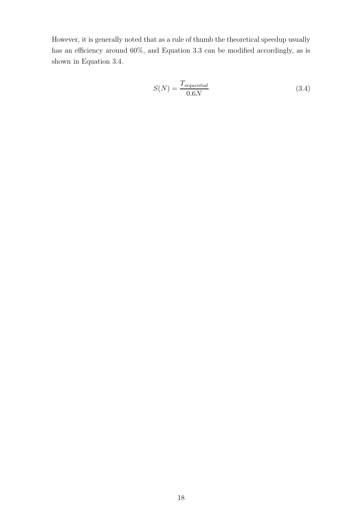However, it is generally noted that as a rule of thumb the theoretical speedup usually has an efficiency around  $60\%$ , and Equation 3.3 can be modified accordingly, as is shown in Equation 3.4.

$$
S(N) = \frac{T_{sequential}}{0.6N}
$$
\n(3.4)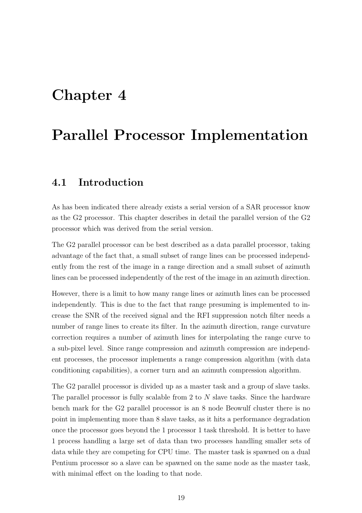## Chapter 4

## Parallel Processor Implementation

### 4.1 Introduction

As has been indicated there already exists a serial version of a SAR processor know as the G2 processor. This chapter describes in detail the parallel version of the G2 processor which was derived from the serial version.

The G2 parallel processor can be best described as a data parallel processor, taking advantage of the fact that, a small subset of range lines can be processed independently from the rest of the image in a range direction and a small subset of azimuth lines can be processed independently of the rest of the image in an azimuth direction.

However, there is a limit to how many range lines or azimuth lines can be processed independently. This is due to the fact that range presuming is implemented to increase the SNR of the received signal and the RFI suppression notch filter needs a number of range lines to create its filter. In the azimuth direction, range curvature correction requires a number of azimuth lines for interpolating the range curve to a sub-pixel level. Since range compression and azimuth compression are independent processes, the processor implements a range compression algorithm (with data conditioning capabilities), a corner turn and an azimuth compression algorithm.

The G2 parallel processor is divided up as a master task and a group of slave tasks. The parallel processor is fully scalable from 2 to N slave tasks. Since the hardware bench mark for the G2 parallel processor is an 8 node Beowulf cluster there is no point in implementing more than 8 slave tasks, as it hits a performance degradation once the processor goes beyond the 1 processor 1 task threshold. It is better to have 1 process handling a large set of data than two processes handling smaller sets of data while they are competing for CPU time. The master task is spawned on a dual Pentium processor so a slave can be spawned on the same node as the master task, with minimal effect on the loading to that node.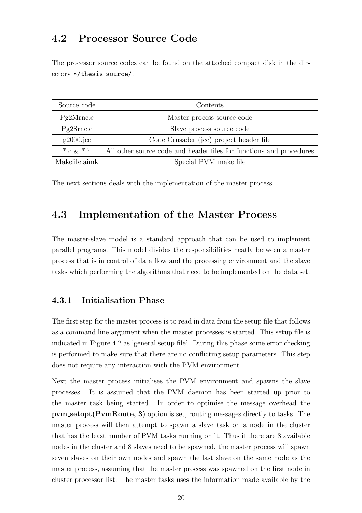## 4.2 Processor Source Code

The processor source codes can be found on the attached compact disk in the directory \*/thesis source/.

| Source code   | Contents                                                            |  |  |
|---------------|---------------------------------------------------------------------|--|--|
| Pg2Mmc.c      | Master process source code                                          |  |  |
| Pg2Srnc.c     | Slave process source code                                           |  |  |
| $g2000$ .jcc  | Code Crusader (jcc) project header file                             |  |  |
| *.c & *.h     | All other source code and header files for functions and procedures |  |  |
| Makefile.aimk | Special PVM make file                                               |  |  |

The next sections deals with the implementation of the master process.

### 4.3 Implementation of the Master Process

The master-slave model is a standard approach that can be used to implement parallel programs. This model divides the responsibilities neatly between a master process that is in control of data flow and the processing environment and the slave tasks which performing the algorithms that need to be implemented on the data set.

### 4.3.1 Initialisation Phase

The first step for the master process is to read in data from the setup file that follows as a command line argument when the master processes is started. This setup file is indicated in Figure 4.2 as 'general setup file'. During this phase some error checking is performed to make sure that there are no conflicting setup parameters. This step does not require any interaction with the PVM environment.

Next the master process initialises the PVM environment and spawns the slave processes. It is assumed that the PVM daemon has been started up prior to the master task being started. In order to optimise the message overhead the pvm setopt(PvmRoute, 3) option is set, routing messages directly to tasks. The master process will then attempt to spawn a slave task on a node in the cluster that has the least number of PVM tasks running on it. Thus if there are 8 available nodes in the cluster and 8 slaves need to be spawned, the master process will spawn seven slaves on their own nodes and spawn the last slave on the same node as the master process, assuming that the master process was spawned on the first node in cluster processor list. The master tasks uses the information made available by the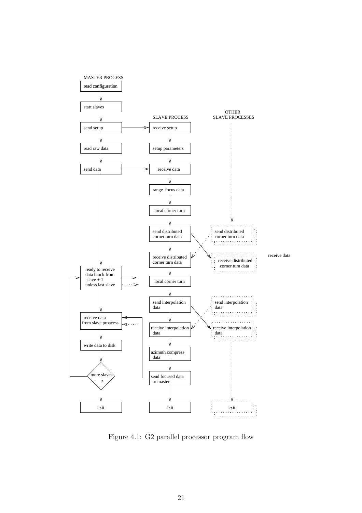

Figure 4.1: G2 parallel processor program flow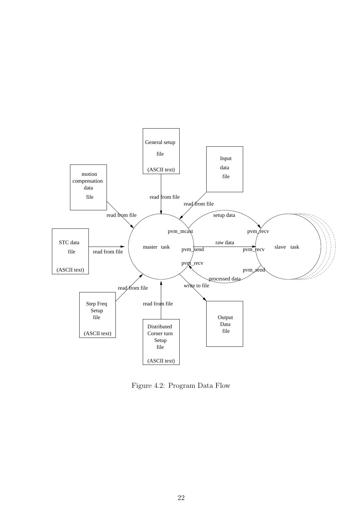

Figure 4.2: Program Data Flow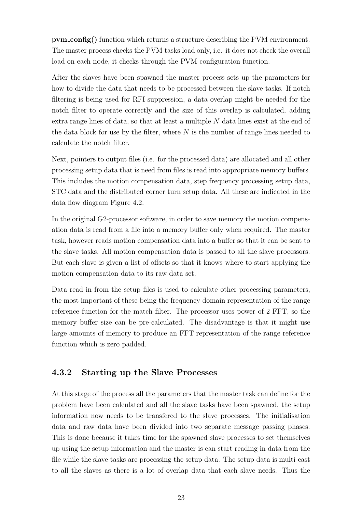pvm config() function which returns a structure describing the PVM environment. The master process checks the PVM tasks load only, i.e. it does not check the overall load on each node, it checks through the PVM configuration function.

After the slaves have been spawned the master process sets up the parameters for how to divide the data that needs to be processed between the slave tasks. If notch filtering is being used for RFI suppression, a data overlap might be needed for the notch filter to operate correctly and the size of this overlap is calculated, adding extra range lines of data, so that at least a multiple N data lines exist at the end of the data block for use by the filter, where  $N$  is the number of range lines needed to calculate the notch filter.

Next, pointers to output files (i.e. for the processed data) are allocated and all other processing setup data that is need from files is read into appropriate memory buffers. This includes the motion compensation data, step frequency processing setup data, STC data and the distributed corner turn setup data. All these are indicated in the data flow diagram Figure 4.2.

In the original G2-processor software, in order to save memory the motion compensation data is read from a file into a memory buffer only when required. The master task, however reads motion compensation data into a buffer so that it can be sent to the slave tasks. All motion compensation data is passed to all the slave processors. But each slave is given a list of offsets so that it knows where to start applying the motion compensation data to its raw data set.

Data read in from the setup files is used to calculate other processing parameters, the most important of these being the frequency domain representation of the range reference function for the match filter. The processor uses power of 2 FFT, so the memory buffer size can be pre-calculated. The disadvantage is that it might use large amounts of memory to produce an FFT representation of the range reference function which is zero padded.

### 4.3.2 Starting up the Slave Processes

At this stage of the process all the parameters that the master task can define for the problem have been calculated and all the slave tasks have been spawned, the setup information now needs to be transfered to the slave processes. The initialisation data and raw data have been divided into two separate message passing phases. This is done because it takes time for the spawned slave processes to set themselves up using the setup information and the master is can start reading in data from the file while the slave tasks are processing the setup data. The setup data is multi-cast to all the slaves as there is a lot of overlap data that each slave needs. Thus the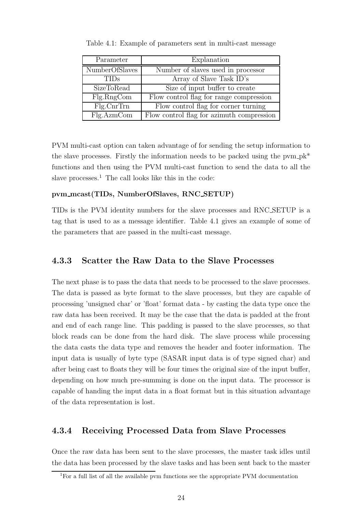| Parameter      | Explanation                               |
|----------------|-------------------------------------------|
| NumberOfSlaves | Number of slaves used in processor        |
| <b>TIDs</b>    | Array of Slave Task ID's                  |
| SizeToRead     | Size of input buffer to create            |
| Flg.RngCom     | Flow control flag for range compression   |
| $Fig. CrrTrn$  | Flow control flag for corner turning      |
| Flg.AzmCom     | Flow control flag for azimuth compression |

Table 4.1: Example of parameters sent in multi-cast message

PVM multi-cast option can taken advantage of for sending the setup information to the slave processes. Firstly the information needs to be packed using the pvm  $pk^*$ functions and then using the PVM multi-cast function to send the data to all the slave processes. $<sup>1</sup>$  The call looks like this in the code:</sup>

#### pvm mcast(TIDs, NumberOfSlaves, RNC SETUP)

TIDs is the PVM identity numbers for the slave processes and RNC SETUP is a tag that is used to as a message identifier. Table 4.1 gives an example of some of the parameters that are passed in the multi-cast message.

### 4.3.3 Scatter the Raw Data to the Slave Processes

The next phase is to pass the data that needs to be processed to the slave processes. The data is passed as byte format to the slave processes, but they are capable of processing 'unsigned char' or 'float' format data - by casting the data type once the raw data has been received. It may be the case that the data is padded at the front and end of each range line. This padding is passed to the slave processes, so that block reads can be done from the hard disk. The slave process while processing the data casts the data type and removes the header and footer information. The input data is usually of byte type (SASAR input data is of type signed char) and after being cast to floats they will be four times the original size of the input buffer, depending on how much pre-summing is done on the input data. The processor is capable of handing the input data in a float format but in this situation advantage of the data representation is lost.

#### 4.3.4 Receiving Processed Data from Slave Processes

Once the raw data has been sent to the slave processes, the master task idles until the data has been processed by the slave tasks and has been sent back to the master

<sup>1</sup>For a full list of all the available pvm functions see the appropriate PVM documentation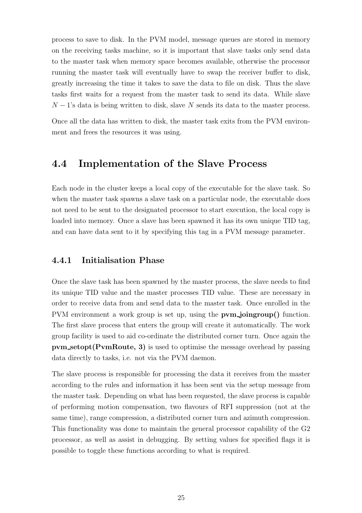process to save to disk. In the PVM model, message queues are stored in memory on the receiving tasks machine, so it is important that slave tasks only send data to the master task when memory space becomes available, otherwise the processor running the master task will eventually have to swap the receiver buffer to disk, greatly increasing the time it takes to save the data to file on disk. Thus the slave tasks first waits for a request from the master task to send its data. While slave  $N-1$ 's data is being written to disk, slave N sends its data to the master process.

Once all the data has written to disk, the master task exits from the PVM environment and frees the resources it was using.

## 4.4 Implementation of the Slave Process

Each node in the cluster keeps a local copy of the executable for the slave task. So when the master task spawns a slave task on a particular node, the executable does not need to be sent to the designated processor to start execution, the local copy is loaded into memory. Once a slave has been spawned it has its own unique TID tag, and can have data sent to it by specifying this tag in a PVM message parameter.

#### 4.4.1 Initialisation Phase

Once the slave task has been spawned by the master process, the slave needs to find its unique TID value and the master processes TID value. These are necessary in order to receive data from and send data to the master task. Once enrolled in the PVM environment a work group is set up, using the **pvm** joingroup() function. The first slave process that enters the group will create it automatically. The work group facility is used to aid co-ordinate the distributed corner turn. Once again the pvm setopt(PvmRoute, 3) is used to optimise the message overhead by passing data directly to tasks, i.e. not via the PVM daemon.

The slave process is responsible for processing the data it receives from the master according to the rules and information it has been sent via the setup message from the master task. Depending on what has been requested, the slave process is capable of performing motion compensation, two flavours of RFI suppression (not at the same time), range compression, a distributed corner turn and azimuth compression. This functionality was done to maintain the general processor capability of the G2 processor, as well as assist in debugging. By setting values for specified flags it is possible to toggle these functions according to what is required.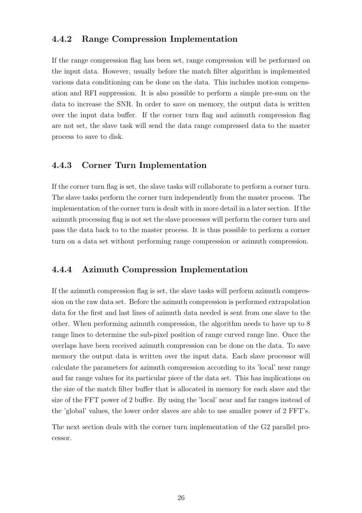### 4.4.2 Range Compression Implementation

If the range compression flag has been set, range compression will be performed on the input data. However, usually before the match filter algorithm is implemented various data conditioning can be done on the data. This includes motion compensation and RFI suppression. It is also possible to perform a simple pre-sum on the data to increase the SNR. In order to save on memory, the output data is written over the input data buffer. If the corner turn flag and azimuth compression flag are not set, the slave task will send the data range compressed data to the master process to save to disk.

### 4.4.3 Corner Turn Implementation

If the corner turn flag is set, the slave tasks will collaborate to perform a corner turn. The slave tasks perform the corner turn independently from the master process. The implementation of the corner turn is dealt with in more detail in a later section. If the azimuth processing flag is not set the slave processes will perform the corner turn and pass the data back to to the master process. It is thus possible to perform a corner turn on a data set without performing range compression or azimuth compression.

### 4.4.4 Azimuth Compression Implementation

If the azimuth compression flag is set, the slave tasks will perform azimuth compression on the raw data set. Before the azimuth compression is performed extrapolation data for the first and last lines of azimuth data needed is sent from one slave to the other. When performing azimuth compression, the algorithm needs to have up to 8 range lines to determine the sub-pixel position of range curved range line. Once the overlaps have been received azimuth compression can be done on the data. To save memory the output data is written over the input data. Each slave processor will calculate the parameters for azimuth compression according to its 'local' near range and far range values for its particular piece of the data set. This has implications on the size of the match filter buffer that is allocated in memory for each slave and the size of the FFT power of 2 buffer. By using the 'local' near and far ranges instead of the 'global' values, the lower order slaves are able to use smaller power of 2 FFT's.

The next section deals with the corner turn implementation of the G2 parallel processor.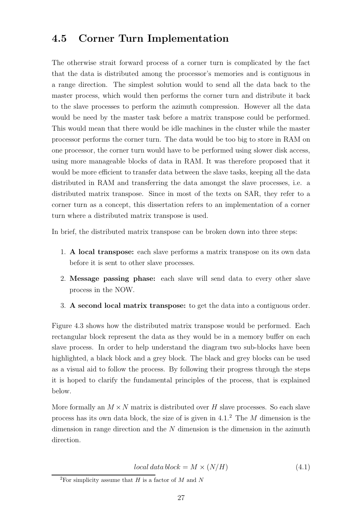### 4.5 Corner Turn Implementation

The otherwise strait forward process of a corner turn is complicated by the fact that the data is distributed among the processor's memories and is contiguous in a range direction. The simplest solution would to send all the data back to the master process, which would then performs the corner turn and distribute it back to the slave processes to perform the azimuth compression. However all the data would be need by the master task before a matrix transpose could be performed. This would mean that there would be idle machines in the cluster while the master processor performs the corner turn. The data would be too big to store in RAM on one processor, the corner turn would have to be performed using slower disk access, using more manageable blocks of data in RAM. It was therefore proposed that it would be more efficient to transfer data between the slave tasks, keeping all the data distributed in RAM and transferring the data amongst the slave processes, i.e. a distributed matrix transpose. Since in most of the texts on SAR, they refer to a corner turn as a concept, this dissertation refers to an implementation of a corner turn where a distributed matrix transpose is used.

In brief, the distributed matrix transpose can be broken down into three steps:

- 1. A local transpose: each slave performs a matrix transpose on its own data before it is sent to other slave processes.
- 2. Message passing phase: each slave will send data to every other slave process in the NOW.
- 3. A second local matrix transpose: to get the data into a contiguous order.

Figure 4.3 shows how the distributed matrix transpose would be performed. Each rectangular block represent the data as they would be in a memory buffer on each slave process. In order to help understand the diagram two sub-blocks have been highlighted, a black block and a grey block. The black and grey blocks can be used as a visual aid to follow the process. By following their progress through the steps it is hoped to clarify the fundamental principles of the process, that is explained below.

More formally an  $M \times N$  matrix is distributed over H slave processes. So each slave process has its own data block, the size of is given in  $4.1<sup>2</sup>$  The M dimension is the dimension in range direction and the  $N$  dimension is the dimension in the azimuth direction.

 $local data block = M \times (N/H)$  (4.1)

<sup>&</sup>lt;sup>2</sup>For simplicity assume that H is a factor of M and N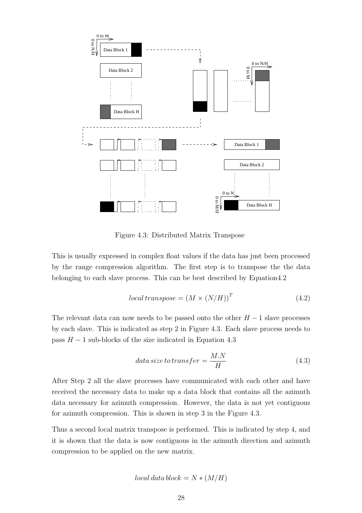

Figure 4.3: Distributed Matrix Transpose

This is usually expressed in complex float values if the data has just been processed by the range compression algorithm. The first step is to transpose the the data belonging to each slave process. This can be best described by Equation4.2

$$
local transpose = (M \times (N/H))^T
$$
\n(4.2)

The relevant data can now needs to be passed onto the other  $H-1$  slave processes by each slave. This is indicated as step 2 in Figure 4.3. Each slave process needs to pass  $H - 1$  sub-blocks of the size indicated in Equation 4.3

$$
data\,size\,to\,transfer = \frac{M.N}{H} \tag{4.3}
$$

After Step 2 all the slave processes have communicated with each other and have received the necessary data to make up a data block that contains all the azimuth data necessary for azimuth compression. However, the data is not yet contiguous for azimuth compression. This is shown in step 3 in the Figure 4.3.

Thus a second local matrix transpose is performed. This is indicated by step 4, and it is shown that the data is now contiguous in the azimuth direction and azimuth compression to be applied on the new matrix.

$$
local\ data\ block = N * (M/H)
$$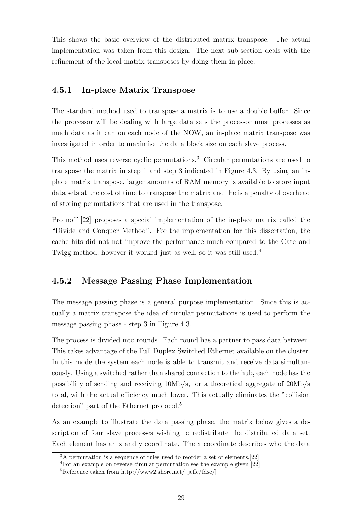This shows the basic overview of the distributed matrix transpose. The actual implementation was taken from this design. The next sub-section deals with the refinement of the local matrix transposes by doing them in-place.

### 4.5.1 In-place Matrix Transpose

The standard method used to transpose a matrix is to use a double buffer. Since the processor will be dealing with large data sets the processor must processes as much data as it can on each node of the NOW, an in-place matrix transpose was investigated in order to maximise the data block size on each slave process.

This method uses reverse cyclic permutations.<sup>3</sup> Circular permutations are used to transpose the matrix in step 1 and step 3 indicated in Figure 4.3. By using an inplace matrix transpose, larger amounts of RAM memory is available to store input data sets at the cost of time to transpose the matrix and the is a penalty of overhead of storing permutations that are used in the transpose.

Protnoff [22] proposes a special implementation of the in-place matrix called the "Divide and Conquer Method". For the implementation for this dissertation, the cache hits did not not improve the performance much compared to the Cate and Twigg method, however it worked just as well, so it was still used.<sup>4</sup>

### 4.5.2 Message Passing Phase Implementation

The message passing phase is a general purpose implementation. Since this is actually a matrix transpose the idea of circular permutations is used to perform the message passing phase - step 3 in Figure 4.3.

The process is divided into rounds. Each round has a partner to pass data between. This takes advantage of the Full Duplex Switched Ethernet available on the cluster. In this mode the system each node is able to transmit and receive data simultaneously. Using a switched rather than shared connection to the hub, each node has the possibility of sending and receiving 10Mb/s, for a theoretical aggregate of 20Mb/s total, with the actual efficiency much lower. This actually eliminates the "collision detection" part of the Ethernet protocol.<sup>5</sup>

As an example to illustrate the data passing phase, the matrix below gives a description of four slave processes wishing to redistribute the distributed data set. Each element has an x and y coordinate. The x coordinate describes who the data

<sup>&</sup>lt;sup>3</sup>A permutation is a sequence of rules used to reorder a set of elements.<sup>[22]</sup>

<sup>4</sup>For an example on reverse circular permutation see the example given [22]

<sup>&</sup>lt;sup>5</sup>Reference taken from http://www2.shore.net/ $\tilde{\text{reffc}}$ /fdse/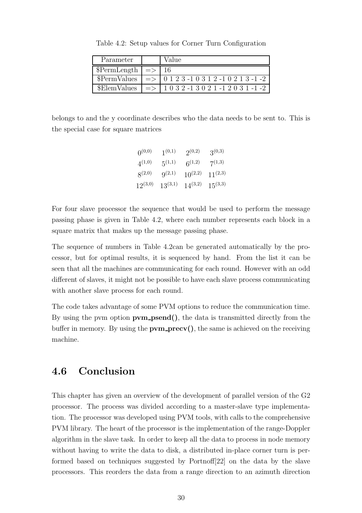| Parameter                   | Value                                               |
|-----------------------------|-----------------------------------------------------|
| $\text{PermLength}$ =>   16 |                                                     |
|                             | $PermValues$ => 0 1 2 3 -1 0 3 1 2 -1 0 2 1 3 -1 -2 |
| \$ElemValues                | $\Rightarrow$   1 0 3 2 -1 3 0 2 1 -1 2 0 3 1 -1 -2 |

Table 4.2: Setup values for Corner Turn Configuration

belongs to and the y coordinate describes who the data needs to be sent to. This is the special case for square matrices

| $0^{(0,0)}$  | $1^{(0,1)}$  | $2^{(0,2)}$  | $3^{(0,3)}$  |
|--------------|--------------|--------------|--------------|
| $4^{(1,0)}$  | $5^{(1,1)}$  | $6^{(1,2)}$  | $7^{(1,3)}$  |
| $8^{(2,0)}$  | $9^{(2,1)}$  | $10^{(2,2)}$ | $11^{(2,3)}$ |
| $12^{(3,0)}$ | $13^{(3,1)}$ | $14^{(3,2)}$ | $15^{(3,3)}$ |

For four slave processor the sequence that would be used to perform the message passing phase is given in Table 4.2, where each number represents each block in a square matrix that makes up the message passing phase.

The sequence of numbers in Table 4.2can be generated automatically by the processor, but for optimal results, it is sequenced by hand. From the list it can be seen that all the machines are communicating for each round. However with an odd different of slaves, it might not be possible to have each slave process communicating with another slave process for each round.

The code takes advantage of some PVM options to reduce the communication time. By using the pym option  $\bf{pvm\_psend}()$ , the data is transmitted directly from the buffer in memory. By using the  $\bf{pvm\_precv}()$ , the same is achieved on the receiving machine.

### 4.6 Conclusion

This chapter has given an overview of the development of parallel version of the G2 processor. The process was divided according to a master-slave type implementation. The processor was developed using PVM tools, with calls to the comprehensive PVM library. The heart of the processor is the implementation of the range-Doppler algorithm in the slave task. In order to keep all the data to process in node memory without having to write the data to disk, a distributed in-place corner turn is performed based on techniques suggested by Portnoff[22] on the data by the slave processors. This reorders the data from a range direction to an azimuth direction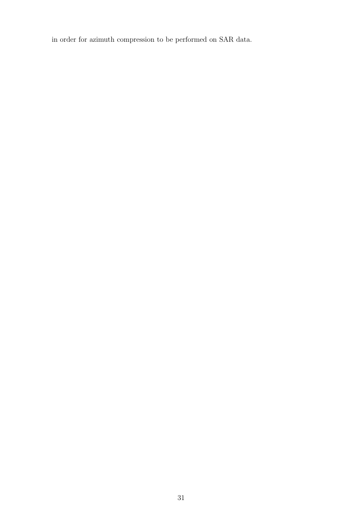in order for azimuth compression to be performed on SAR data.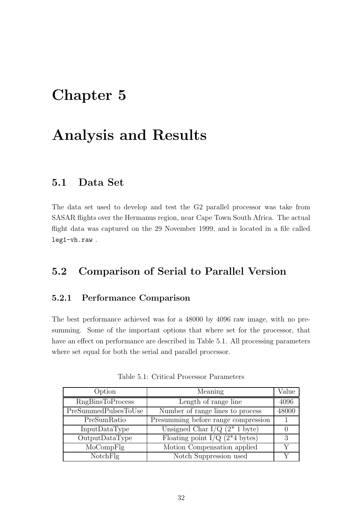## Chapter 5

## Analysis and Results

### 5.1 Data Set

The data set used to develop and test the G2 parallel processor was take from SASAR flights over the Hermanus region, near Cape Town South Africa. The actual flight data was captured on the 29 November 1999, and is located in a file called leg1-vh.raw .

## 5.2 Comparison of Serial to Parallel Version

### 5.2.1 Performance Comparison

The best performance achieved was for a 48000 by 4096 raw image, with no presumming. Some of the important options that where set for the processor, that have an effect on performance are described in Table 5.1. All processing parameters where set equal for both the serial and parallel processor.

| Option                  | Meaning                                       | Value |
|-------------------------|-----------------------------------------------|-------|
| <b>RngBinsToProcess</b> | Length of range line                          | 4096  |
| PreSummedPulsesToUse    | Number of range lines to process              | 48000 |
| PreSumRatio             | Presumming before range compression           |       |
| InputDataType           | Unsigned Char I/Q $(2^* 1$ byte)              |       |
| OutputDataType          | Floating point $I/Q$ (2 <sup>*</sup> 4 bytes) | 3     |
| MoCompFlg               | Motion Compensation applied                   |       |
| NotchFlg                | Notch Suppression used                        |       |

Table 5.1: Critical Processor Parameters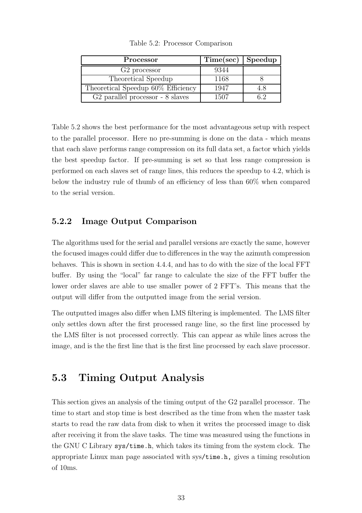| Processor                                    | Time(sec) | Speedup |
|----------------------------------------------|-----------|---------|
| G <sub>2</sub> processor                     | 9344      |         |
| Theoretical Speedup                          | 1168      |         |
| Theoretical Speedup 60% Efficiency           | 1947      | 4.8     |
| G <sub>2</sub> parallel processor - 8 slaves | 1507      | հ 2     |

Table 5.2: Processor Comparison

Table 5.2 shows the best performance for the most advantageous setup with respect to the parallel processor. Here no pre-summing is done on the data - which means that each slave performs range compression on its full data set, a factor which yields the best speedup factor. If pre-summing is set so that less range compression is performed on each slaves set of range lines, this reduces the speedup to 4.2, which is below the industry rule of thumb of an efficiency of less than 60% when compared to the serial version.

### 5.2.2 Image Output Comparison

The algorithms used for the serial and parallel versions are exactly the same, however the focused images could differ due to differences in the way the azimuth compression behaves. This is shown in section 4.4.4, and has to do with the size of the local FFT buffer. By using the "local" far range to calculate the size of the FFT buffer the lower order slaves are able to use smaller power of 2 FFT's. This means that the output will differ from the outputted image from the serial version.

The outputted images also differ when LMS filtering is implemented. The LMS filter only settles down after the first processed range line, so the first line processed by the LMS filter is not processed correctly. This can appear as while lines across the image, and is the the first line that is the first line processed by each slave processor.

### 5.3 Timing Output Analysis

This section gives an analysis of the timing output of the G2 parallel processor. The time to start and stop time is best described as the time from when the master task starts to read the raw data from disk to when it writes the processed image to disk after receiving it from the slave tasks. The time was measured using the functions in the GNU C Library sys/time.h, which takes its timing from the system clock. The appropriate Linux man page associated with sys/time.h, gives a timing resolution of 10ms.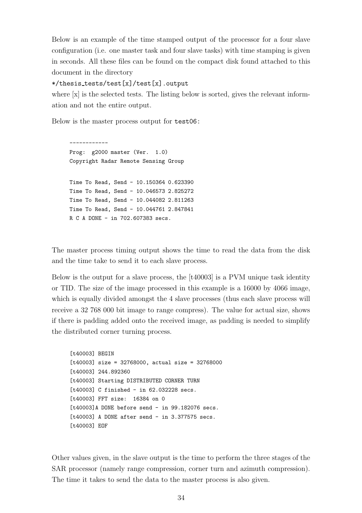Below is an example of the time stamped output of the processor for a four slave configuration (i.e. one master task and four slave tasks) with time stamping is given in seconds. All these files can be found on the compact disk found attached to this document in the directory

#### \*/thesis tests/test[x]/test[x].output

where  $[x]$  is the selected tests. The listing below is sorted, gives the relevant information and not the entire output.

Below is the master process output for test06:

------------ Prog: g2000 master (Ver. 1.0) Copyright Radar Remote Sensing Group Time To Read, Send - 10.150364 0.623390 Time To Read, Send - 10.046573 2.825272 Time To Read, Send - 10.044082 2.811263 Time To Read, Send - 10.044761 2.847841 R C A DONE - in 702.607383 secs.

The master process timing output shows the time to read the data from the disk and the time take to send it to each slave process.

Below is the output for a slave process, the [t40003] is a PVM unique task identity or TID. The size of the image processed in this example is a 16000 by 4066 image, which is equally divided amongst the 4 slave processes (thus each slave process will receive a 32 768 000 bit image to range compress). The value for actual size, shows if there is padding added onto the received image, as padding is needed to simplify the distributed corner turning process.

[t40003] BEGIN [t40003] size = 32768000, actual size = 32768000 [t40003] 244.892360 [t40003] Starting DISTRIBUTED CORNER TURN [t40003] C finished - in 62.032228 secs. [t40003] FFT size: 16384 on 0 [t40003]A DONE before send - in 99.182076 secs. [t40003] A DONE after send - in 3.377575 secs. [t40003] EOF

Other values given, in the slave output is the time to perform the three stages of the SAR processor (namely range compression, corner turn and azimuth compression). The time it takes to send the data to the master process is also given.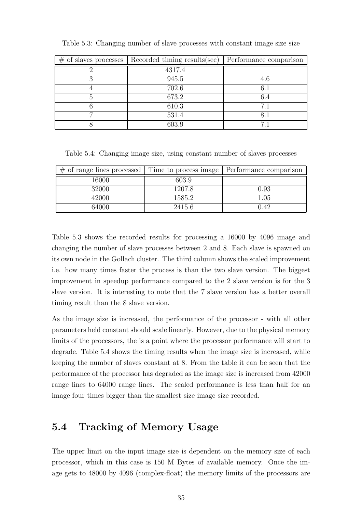| $\#$ of slaves processes   Recorded timing results (sec) | Performance comparison |
|----------------------------------------------------------|------------------------|
| 4317.4                                                   |                        |
| 945.5                                                    | 4.6                    |
| 702.6                                                    | $6.1\,$                |
| 673.2                                                    | 6.4                    |
| 610.3                                                    | 71                     |
| 531.4                                                    | 8.1                    |
| 603.9                                                    |                        |

Table 5.3: Changing number of slave processes with constant image size size

Table 5.4: Changing image size, using constant number of slaves processes

| $\#$ of range lines processed | Time to process image | Performance comparison |
|-------------------------------|-----------------------|------------------------|
| 16000                         | 603.9                 |                        |
| 32000                         | 1207.8                | 0.93                   |
| 42000                         | 1585.2                | $1.05\,$               |
| 64000                         | 2415.6                | 0.42                   |

Table 5.3 shows the recorded results for processing a 16000 by 4096 image and changing the number of slave processes between 2 and 8. Each slave is spawned on its own node in the Gollach cluster. The third column shows the scaled improvement i.e. how many times faster the process is than the two slave version. The biggest improvement in speedup performance compared to the 2 slave version is for the 3 slave version. It is interesting to note that the 7 slave version has a better overall timing result than the 8 slave version.

As the image size is increased, the performance of the processor - with all other parameters held constant should scale linearly. However, due to the physical memory limits of the processors, the is a point where the processor performance will start to degrade. Table 5.4 shows the timing results when the image size is increased, while keeping the number of slaves constant at 8. From the table it can be seen that the performance of the processor has degraded as the image size is increased from 42000 range lines to 64000 range lines. The scaled performance is less than half for an image four times bigger than the smallest size image size recorded.

### 5.4 Tracking of Memory Usage

The upper limit on the input image size is dependent on the memory size of each processor, which in this case is 150 M Bytes of available memory. Once the image gets to 48000 by 4096 (complex-float) the memory limits of the processors are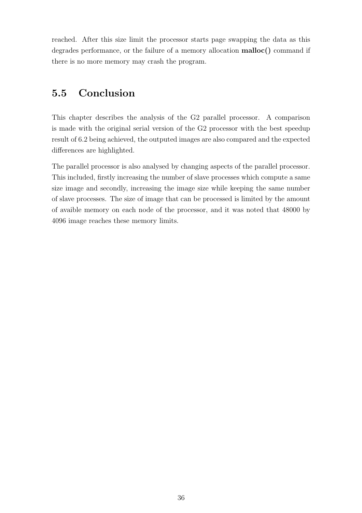reached. After this size limit the processor starts page swapping the data as this degrades performance, or the failure of a memory allocation malloc() command if there is no more memory may crash the program.

## 5.5 Conclusion

This chapter describes the analysis of the G2 parallel processor. A comparison is made with the original serial version of the G2 processor with the best speedup result of 6.2 being achieved, the outputed images are also compared and the expected differences are highlighted.

The parallel processor is also analysed by changing aspects of the parallel processor. This included, firstly increasing the number of slave processes which compute a same size image and secondly, increasing the image size while keeping the same number of slave processes. The size of image that can be processed is limited by the amount of avaible memory on each node of the processor, and it was noted that 48000 by 4096 image reaches these memory limits.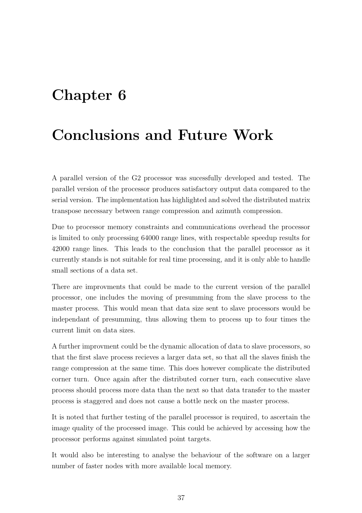## Chapter 6

## Conclusions and Future Work

A parallel version of the G2 processor was sucessfully developed and tested. The parallel version of the processor produces satisfactory output data compared to the serial version. The implementation has highlighted and solved the distributed matrix transpose necessary between range compression and azimuth compression.

Due to processor memory constraints and communications overhead the processor is limited to only processing 64000 range lines, with respectable speedup results for 42000 range lines. This leads to the conclusion that the parallel processor as it currently stands is not suitable for real time processing, and it is only able to handle small sections of a data set.

There are improvments that could be made to the current version of the parallel processor, one includes the moving of presumming from the slave process to the master process. This would mean that data size sent to slave processors would be independant of presumming, thus allowing them to process up to four times the current limit on data sizes.

A further improvment could be the dynamic allocation of data to slave processors, so that the first slave process recieves a larger data set, so that all the slaves finish the range compression at the same time. This does however complicate the distributed corner turn. Once again after the distributed corner turn, each consecutive slave process should process more data than the next so that data transfer to the master process is staggered and does not cause a bottle neck on the master process.

It is noted that further testing of the parallel processor is required, to ascertain the image quality of the processed image. This could be achieved by accessing how the processor performs against simulated point targets.

It would also be interesting to analyse the behaviour of the software on a larger number of faster nodes with more available local memory.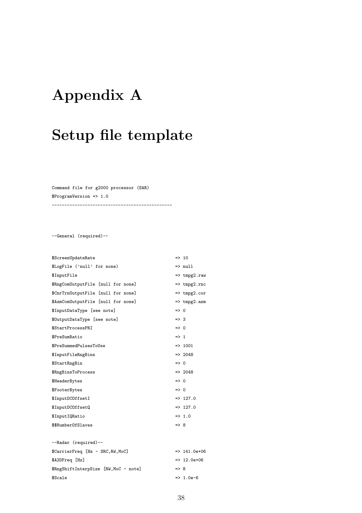# Appendix A

# Setup file template

Command file for g2000 processor (SAR) \$ProgramVersion => 1.0

-----------------------------------------------

--General (required)--

| \$ScreenUpdateRate                    |                 | $\Rightarrow$ 10        |
|---------------------------------------|-----------------|-------------------------|
| \$LogFile ('null' for none)           |                 | $\Rightarrow$ null      |
| \$InputFile                           |                 | $\Rightarrow$ tmpg2.raw |
| \$RngComOutputFile [null for none]    |                 | $\Rightarrow$ tmpg2.rnc |
| \$CnrTrnOutputFile [null for none]    |                 | $\Rightarrow$ tmpg2.cor |
| \$AzmComOutputFile [null for none]    |                 | $\Rightarrow$ tmpg2.azm |
| \$InputDataType [see note]            | $\Rightarrow$ 0 |                         |
| \$OutputDataType [see note]           | $\Rightarrow$ 3 |                         |
| \$StartProcessPRI                     | $\Rightarrow$ 0 |                         |
| \$PreSumRatio                         | $\Rightarrow$ 1 |                         |
| \$PreSummedPulsesToUse                |                 | $=$ 1001                |
| \$InputFileRngBins                    |                 | $=$ 2048                |
| \$StartRngBin                         | $\Rightarrow$ 0 |                         |
| \$RngBinsToProcess                    |                 | $=$ 2048                |
| \$HeaderBytes                         | $\Rightarrow$ 0 |                         |
| \$FooterBytes                         | $\Rightarrow 0$ |                         |
| \$InputDCOffsetI                      |                 | $=$ 127.0               |
| \$InputDCOffsetQ                      |                 | $=$ 127.0               |
| \$InputIQRatio                        |                 | $=$ 1.0                 |
| \$\$NumberOfSlaves                    | $\Rightarrow$ 8 |                         |
|                                       |                 |                         |
| --Radar (required)--                  |                 |                         |
| \$CarrierFreq [Hz - SRC, RW, MoC]     |                 | $=$ $> 141.0e+06$       |
| \$A2DFreq [Hz]                        |                 | $=$ 12.0e+06            |
| \$RngShiftInterpSize [RW, MoC - note] | $\Rightarrow$ 8 |                         |

 $$Scale$  => 1.0e-6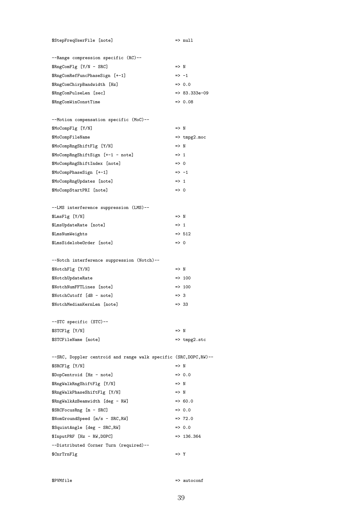\$StepFreqUserFile [note] => null

| --Range compression specific (RC)-- |                  |                   |
|-------------------------------------|------------------|-------------------|
| \$RngComFlg [Y/N - SRC]             | $\Rightarrow$ N  |                   |
| \$RngComRefFuncPhaseSign [+-1]      | $\Rightarrow -1$ |                   |
| \$RngComChirpBandwidth [Hz]         |                  | $\Rightarrow 0.0$ |
| \$RngComPulseLen [sec]              |                  | $=$ 83.333e-09    |
| \$RngComWinConstTime                |                  | $= 0.08$          |
|                                     |                  |                   |

| --Motion compensation specific (MoC)-- |                  |                         |
|----------------------------------------|------------------|-------------------------|
| \$MoCompFlg [Y/N]                      | $\Rightarrow$ N  |                         |
| \$MoCompFileName                       |                  | $\Rightarrow$ tmpg2.moc |
| \$MoCompRngShiftFlg [Y/N]              | $\Rightarrow$ N  |                         |
| \$MoCompRngShiftSign [+-1 - note]      | $\Rightarrow$ 1  |                         |
| \$MoCompRngShiftIndex [note]           | $\Rightarrow$ 0  |                         |
| \$MoCompPhaseSign [+-1]                | $\Rightarrow -1$ |                         |
| \$MoCompRngUpdates [note]              | $\Rightarrow$ 1  |                         |
| \$MoCompStartPRI [note]                | $\Rightarrow 0$  |                         |

| --LMS interference suppression (LMS)-- |                 |                   |
|----------------------------------------|-----------------|-------------------|
| \$LmsFlg [Y/N]                         | $\Rightarrow N$ |                   |
| \$LmsUpdateRate [note]                 | $\Rightarrow$ 1 |                   |
| \$LmsNumWeights                        |                 | $\Rightarrow$ 512 |
| \$LmsSidelobeOrder [note]              | $\Rightarrow$ 0 |                   |

### --Notch interference suppression (Notch)-- \$NotchFlg [Y/N] => N  $$NotchUpdateRate$  => 100 \$NotchNumFFTLines [note] => 100  $$NotchCutoff$   $[dB - note]$  => 3 \$NotchMedianKernLen [note] => 33

| --STC specific (STC)-- |                         |
|------------------------|-------------------------|
| \$STCFlg [Y/N]         | $\Rightarrow N$         |
| \$STCFileName [note]   | $\Rightarrow$ tmpg2.stc |

| --SRC, Doppler centroid and range walk specific (SRC, DOPC, RW)-- |                    |
|-------------------------------------------------------------------|--------------------|
| \$SRCFlg [Y/N]                                                    | $\Rightarrow$ N    |
| \$DopCentroid [Hz - note]                                         | $\Rightarrow 0.0$  |
| \$RngWalkRngShiftFlg [Y/N]                                        | $\Rightarrow$ N    |
| \$RngWalkPhaseShiftFlg [Y/N]                                      | $\Rightarrow$ N    |
| \$RngWalkAzBeamwidth [deg - RW]                                   | $=$ 60.0           |
| \$SRCFocusRng [m - SRC]                                           | $\Rightarrow 0.0$  |
| $NomGroundSpeed [m/s - SRC, RW]$                                  | $\Rightarrow$ 72.0 |
| \$SquintAngle [deg - SRC, RW]                                     | $\Rightarrow 0.0$  |
| \$InputPRF [Hz - RW, DOPC]                                        | $=$ 136.364        |
| --Distributed Corner Turn (required)--                            |                    |
| \$CnrTrnFlg                                                       | $\Rightarrow$ Y    |

\$PVMfile => autoconf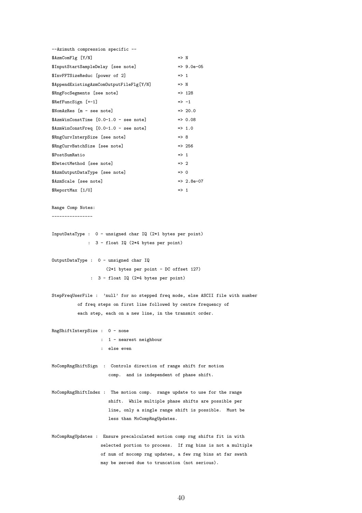| --Azimuth compression specific --                                               |                                                            |
|---------------------------------------------------------------------------------|------------------------------------------------------------|
| \$AzmComFlg [Y/N]                                                               | $\Rightarrow$ N                                            |
| \$InputStartSampleDelay [see note]                                              | $=$ 9.0e-05                                                |
| \$InvFFTSizeReduc [power of 2]                                                  | $\Rightarrow$ 1                                            |
| \$AppendExistingAzmComOutputFileFlg[Y/N]                                        | $\Rightarrow$ N                                            |
| \$RngFocSegments [see note]                                                     | $\Rightarrow$ 128                                          |
| \$RefFuncSign [+-1]                                                             | $\Rightarrow -1$                                           |
| \$NomAzRes [m - see note]                                                       | $\Rightarrow$ 20.0                                         |
| \$AzmWinConstTime [0.0-1.0 - see note]                                          | $\Rightarrow 0.08$                                         |
| \$AzmWinConstFreq [0.0-1.0 - see note]                                          | $\Rightarrow$ 1.0                                          |
| \$RngCurvInterpSize [see note]                                                  | $\Rightarrow$ 8                                            |
| \$RngCurvBatchSize [see note]                                                   | $\Rightarrow$ 256                                          |
| \$PostSumRatio                                                                  | $\Rightarrow$ 1                                            |
| \$DetectMethod [see note]                                                       | $\Rightarrow$ 2                                            |
| \$AzmOutputDataType [see note]                                                  | $\Rightarrow$ 0                                            |
| \$AzmScale [see note]                                                           | $=$ 2.8e-07                                                |
| \$ReportMax [1/0]                                                               | $\Rightarrow$ 1                                            |
|                                                                                 |                                                            |
| Range Comp Notes:                                                               |                                                            |
| . _ _ _ _ _ _ _ _ _ _ _ _ _ _ _                                                 |                                                            |
|                                                                                 |                                                            |
| InputDataType : $0$ - unsigned char IQ (2*1 bytes per point)                    |                                                            |
| : 3 - float IQ (2*4 bytes per point)                                            |                                                            |
|                                                                                 |                                                            |
| OutputDataType : 0 - unsigned char IQ                                           |                                                            |
| (2*1 bytes per point - DC offset 127)                                           |                                                            |
| : 3 - float IQ (2*4 bytes per point)                                            |                                                            |
|                                                                                 |                                                            |
| StepFreqUserFile : 'null' for no stepped freq mode, else ASCII file with number |                                                            |
| of freq steps on first line followed by centre frequency of                     |                                                            |
| each step, each on a new line, in the transmit order.                           |                                                            |
| RngShiftInterpSize : 0 - none                                                   |                                                            |
| : 1 - nearest neighbour                                                         |                                                            |
| : else even                                                                     |                                                            |
|                                                                                 |                                                            |
| MoCompRngShiftSign : Controls direction of range shift for motion               |                                                            |
| comp. and is independent of phase shift.                                        |                                                            |
|                                                                                 |                                                            |
| MoCompRngShiftIndex : The motion comp. range update to use for the range        |                                                            |
|                                                                                 | shift. While multiple phase shifts are possible per        |
|                                                                                 | line, only a single range shift is possible. Must be       |
| less than MoCompRngUpdates.                                                     |                                                            |
|                                                                                 |                                                            |
| MoCompRngUpdates : Ensure precalculated motion comp rng shifts fit in with      |                                                            |
|                                                                                 | selected portion to process. If rng bins is not a multiple |
|                                                                                 | of num of mocomp rng updates, a few rng bins at far swath  |
| may be zeroed due to truncation (not serious).                                  |                                                            |
|                                                                                 |                                                            |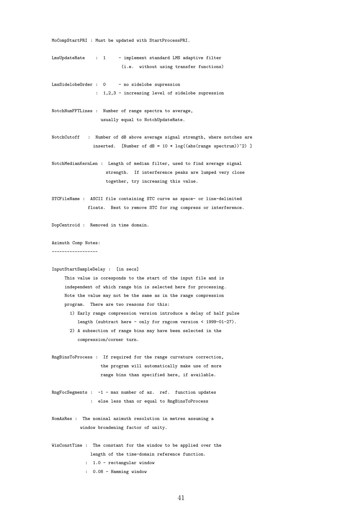MoCompStartPRI : Must be updated with StartProcessPRI.

- LmsUpdateRate : 1 implement standard LMS adaptive filter (i.e. without using transfer functions)
- LmsSidelobeOrder : 0 no sidelobe supression : 1,2,3 - increasing level of sidelobe supression
- NotchNumFFTLines : Number of range spectra to average, usually equal to NotchUpdateRate.
- NotchCutoff : Number of dB above average signal strength, where notches are inserted. [Number of  $dB = 10 * log((abs(range spectrum))^2) ]$
- NotchMedianKernLen : Length of median filter, used to find average signal strength. If interference peaks are lumped very close together, try increasing this value.
- STCFileName : ASCII file containing STC curve as space- or line-delimited floats. Best to remove STC for rng compress or interference.

DopCentroid : Removed in time domain.

#### Azimuth Comp Notes:

------------------

#### InputStartSampleDelay : [in secs]

This value is coresponds to the start of the input file and is independent of which range bin is selected here for processing. Note the value may not be the same as in the range compression program. There are two reasons for this:

- 1) Early range compression version introduce a delay of half pulse length (subtract here - only for rngcom version < 1999-01-27).
- 2) A subsection of range bins may have been selected in the compression/corner turn.
- RngBinsToProcess : If required for the range curvature correction, the program will automatically make use of more range bins than specified here, if available.
- RngFocSegments : -1 max number of az. ref. function updates : else less than or equal to RngBinsToProcess
- NomAzRes : The nominal azimuth resolution in metres assuming a window broadening factor of unity.
- WinConstTime : The constant for the window to be applied over the length of the time-domain reference function.
	- : 1.0 rectangular window
	- : 0.08 Hamming window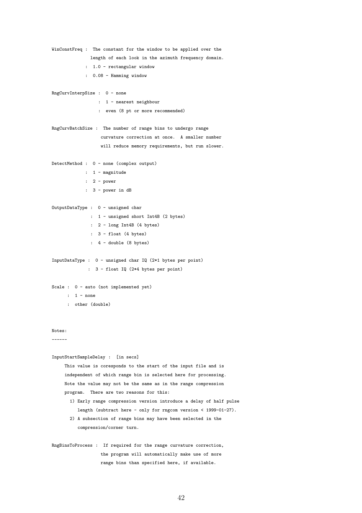```
WinConstFreq : The constant for the window to be applied over the
              length of each look in the azimuth frequency domain.
             : 1.0 - rectangular window
             : 0.08 - Hamming window
RngCurvInterpSize : 0 - none
                  : 1 - nearest neighbour
                  : even (8 pt or more recommended)
RngCurvBatchSize : The number of range bins to undergo range
                  curvature correction at once. A smaller number
                  will reduce memory requirements, but run slower.
DetectMethod : 0 - none (complex output)
            : 1 - magnitude
             : 2 - power
             : 3 - power in dB
OutputDataType : 0 - unsigned char
               : 1 - unsigned short Int4B (2 bytes)
               : 2 - long Int4B (4 bytes)
               : 3 - float (4 bytes)
               : 4 - double (8 bytes)
InputDataType : 0 - unsigned char IQ (2*1 bytes per point)
              : 3 - float IQ (2*4 bytes per point)
Scale : 0 - auto (not implemented yet)
     : 1 - none
      : other (double)
Notes:
------
InputStartSampleDelay : [in secs]
    This value is coresponds to the start of the input file and is
    independent of which range bin is selected here for processing.
    Note the value may not be the same as in the range compression
    program. There are two reasons for this:
       1) Early range compression version introduce a delay of half pulse
          length (subtract here - only for rngcom version < 1999-01-27).
      2) A subsection of range bins may have been selected in the
          compression/corner turn.
RngBinsToProcess : If required for the range curvature correction,
                   the program will automatically make use of more
                   range bins than specified here, if available.
```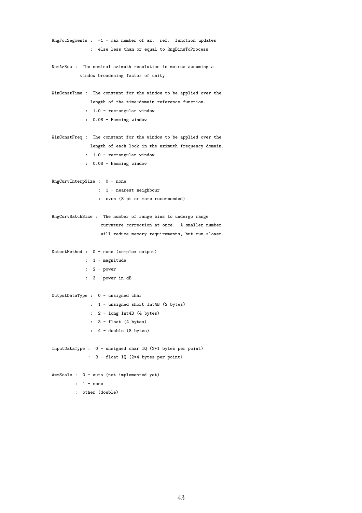```
RngFocSegments : -1 - max number of az. ref. function updates
              : else less than or equal to RngBinsToProcess
NomAzRes : The nominal azimuth resolution in metres assuming a
          window broadening factor of unity.
WinConstTime : The constant for the window to be applied over the
              length of the time-domain reference function.
            : 1.0 - rectangular window
             : 0.08 - Hamming window
WinConstFreq : The constant for the window to be applied over the
              length of each look in the azimuth frequency domain.
             : 1.0 - rectangular window
             : 0.08 - Hamming window
RngCurvInterpSize : 0 - none
                 : 1 - nearest neighbour
                 : even (8 pt or more recommended)
RngCurvBatchSize : The number of range bins to undergo range
                  curvature correction at once. A smaller number
                  will reduce memory requirements, but run slower.
DetectMethod : 0 - none (complex output)
            : 1 - magnitude
            : 2 - power
            : 3 - power in dB
OutputDataType : 0 - unsigned char
              : 1 - unsigned short Int4B (2 bytes)
              : 2 - long Int4B (4 bytes)
              : 3 - float (4 bytes)
              : 4 - double (8 bytes)
InputDataType : 0 - unsigned char IQ (2*1 bytes per point)
             : 3 - float IQ (2*4 bytes per point)
AzmScale : 0 - auto (not implemented yet)
        : 1 - none
        : other (double)
```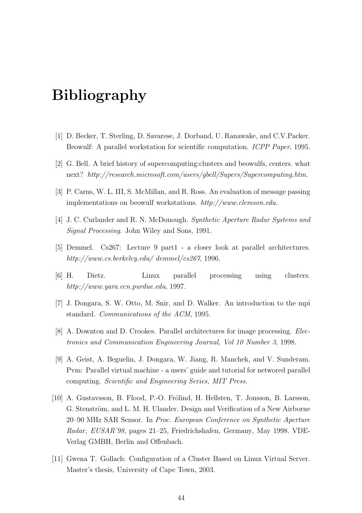## Bibliography

- [1] D. Becker, T. Sterling, D. Savarese, J. Dorband, U. Ranawake, and C.V.Packer. Beowulf: A parallel workstation for scientific computation. ICPP Paper, 1995.
- [2] G. Bell. A brief history of supercomputing:clusters and beowulfs, centers. what next? http://research.microsoft.com/users/gbell/Supers/Supercomputing.htm.
- [3] P. Carns, W. L. III, S. McMillan, and R. Ross. An evaluation of message passing implementations on beowulf workstations. http://www.clemson.edu.
- [4] J. C. Curlander and R. N. McDonough. Synthetic Aperture Radar Systems and Signal Processing. John Wiley and Sons, 1991.
- [5] Demmel. Cs267: Lecture 9 part1 a closer look at parallel architectures. http://www.cs.berkeley.edu/ demmel/cs267, 1996.
- [6] H. Dietz. Linux parallel processing using clusters. http://www.yara.ecn.purdue.edu, 1997.
- [7] J. Dongara, S. W. Otto, M. Snir, and D. Walker. An introduction to the mpi standard. Communications of the ACM, 1995.
- [8] A. Downton and D. Crookes. Parallel architectures for image processing. Electronics and Communication Engineering Journal, Vol 10 Number 3, 1998.
- [9] A. Geist, A. Beguelin, J. Dongara, W. Jiang, R. Manchek, and V. Sunderam. Pvm: Parallel virtual machine - a users' guide and tutorial for networed parallel computing. Scientific and Engineering Series, MIT Press.
- [10] A. Gustavsson, B. Flood, P.-O. Frölind, H. Hellsten, T. Jonsson, B. Larsson, G. Stenström, and L. M. H. Ulander. Design and Verification of a New Airborne 20–90 MHz SAR Sensor. In Proc. European Conference on Synthetic Aperture Radar, EUSAR'98, pages 21–25, Friedrichshafen, Germany, May 1998. VDE-Verlag GMBH, Berlin and Offenbach.
- [11] Gwena T. Gollach: Configuration of a Cluster Based on Linux Virtual Server. Master's thesis, University of Cape Town, 2003.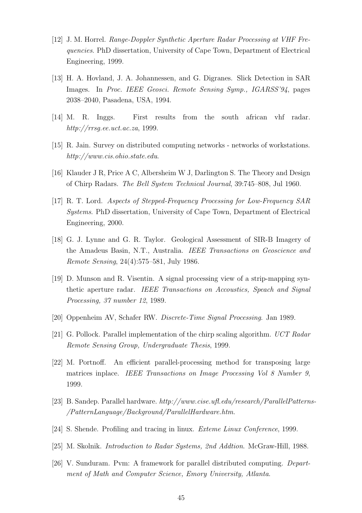- [12] J. M. Horrel. Range-Doppler Synthetic Aperture Radar Processing at VHF Frequencies. PhD dissertation, University of Cape Town, Department of Electrical Engineering, 1999.
- [13] H. A. Hovland, J. A. Johannessen, and G. Digranes. Slick Detection in SAR Images. In Proc. IEEE Geosci. Remote Sensing Symp., IGARSS'94, pages 2038–2040, Pasadena, USA, 1994.
- [14] M. R. Inggs. First results from the south african vhf radar. http://rrsg.ee.uct.ac.za, 1999.
- [15] R. Jain. Survey on distributed computing networks networks of workstations. http://www.cis.ohio.state.edu.
- [16] Klauder J R, Price A C, Albersheim W J, Darlington S. The Theory and Design of Chirp Radars. The Bell System Technical Journal, 39:745–808, Jul 1960.
- [17] R. T. Lord. Aspects of Stepped-Frequency Processing for Low-Frequency SAR Systems. PhD dissertation, University of Cape Town, Department of Electrical Engineering, 2000.
- [18] G. J. Lynne and G. R. Taylor. Geological Assessment of SIR-B Imagery of the Amadeus Basin, N.T., Australia. IEEE Transactions on Geoscience and Remote Sensing, 24(4):575–581, July 1986.
- [19] D. Munson and R. Visentin. A signal processing view of a strip-mapping synthetic aperture radar. IEEE Transactions on Accoustics, Speach and Signal Processing, 37 number 12, 1989.
- [20] Oppenheim AV, Schafer RW. Discrete-Time Signal Processing. Jan 1989.
- [21] G. Pollock. Parallel implementation of the chirp scaling algorithm. UCT Radar Remote Sensing Group, Undergraduate Thesis, 1999.
- [22] M. Portnoff. An efficient parallel-processing method for transposing large matrices inplace. IEEE Transactions on Image Processing Vol 8 Number 9, 1999.
- [23] B. Sandep. Parallel hardware. http://www.cise.ufl.edu/research/ParallelPatterns- /PatternLanguage/Background/ParallelHardware.htm.
- [24] S. Shende. Profiling and tracing in linux. Exteme Linux Conference, 1999.
- [25] M. Skolnik. Introduction to Radar Systems, 2nd Addtion. McGraw-Hill, 1988.
- [26] V. Sunduram. Pvm: A framework for parallel distributed computing. Department of Math and Computer Science, Emory University, Atlanta.